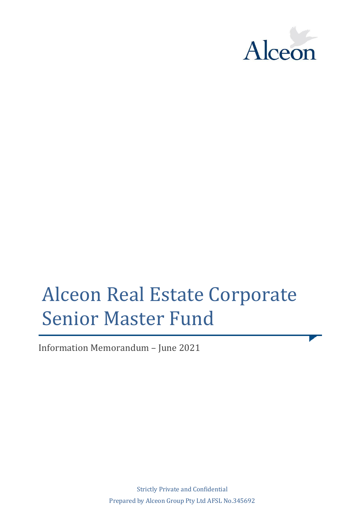

# Alceon Real Estate Corporate Senior Master Fund

Information Memorandum – June 2021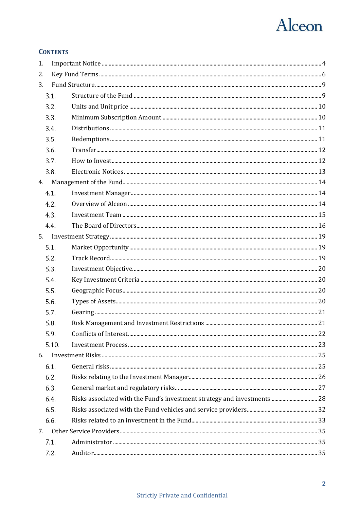## Alceon

### **CONTENTS**

| 1.   |       |  |
|------|-------|--|
| 2.   |       |  |
| 3.   |       |  |
| 3.1. |       |  |
| 3.2. |       |  |
| 3.3. |       |  |
| 3.4. |       |  |
| 3.5. |       |  |
| 3.6. |       |  |
| 3.7. |       |  |
| 3.8. |       |  |
| 4.   |       |  |
| 4.1. |       |  |
| 4.2. |       |  |
| 4.3. |       |  |
| 4.4. |       |  |
|      |       |  |
| 5.1. |       |  |
| 5.2. |       |  |
| 5.3. |       |  |
| 5.4. |       |  |
| 5.5. |       |  |
| 5.6. |       |  |
| 5.7. |       |  |
| 5.8. |       |  |
| 5.9  |       |  |
|      | 5.10. |  |
| 6.   |       |  |
| 6.1. |       |  |
| 6.2. |       |  |
| 6.3. |       |  |
| 6.4. |       |  |
| 6.5. |       |  |
| 6.6. |       |  |
|      |       |  |
| 7.1. |       |  |
| 7.2. |       |  |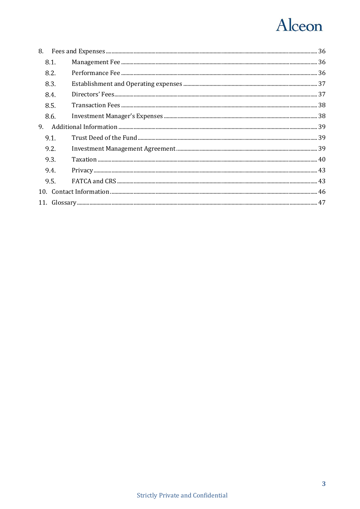## Alceon

|    | 8.1. |  |
|----|------|--|
|    | 8.2. |  |
|    | 8.3. |  |
|    | 8.4. |  |
|    | 8.5. |  |
|    | 8.6. |  |
| 9. |      |  |
|    | 9.1. |  |
|    | 9.2. |  |
|    | 9.3. |  |
|    | 9.4. |  |
|    | 9.5. |  |
|    |      |  |
|    |      |  |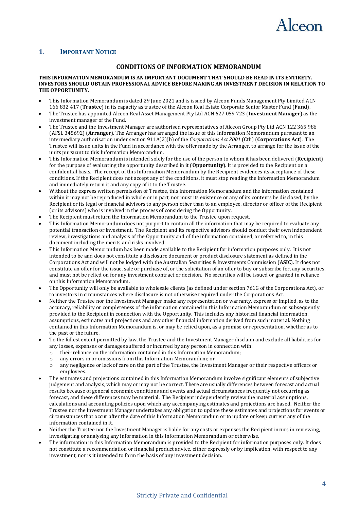

### <span id="page-3-0"></span>**1. IMPORTANT NOTICE**

### **CONDITIONS OF INFORMATION MEMORANDUM**

### **THIS INFORMATION MEMORANDUM IS AN IMPORTANT DOCUMENT THAT SHOULD BE READ IN ITS ENTIRETY. INVESTORS SHOULD OBTAIN PROFESSIONAL ADVICE BEFORE MAKING AN INVESTMENT DECISION IN RELATION TO THE OPPORTUNITY.**

- This Information Memorandum is dated 29 June 2021 and is issued by Alceon Funds Management Pty Limited ACN 166 832 417 (**Trustee**) in its capacity as trustee of the Alceon Real Estate Corporate Senior Master Fund (**Fund**).
- The Trustee has appointed Alceon Real Asset Management Pty Ltd ACN 627 059 723 (**Investment Manager**) as the investment manager of the Fund.
- The Trustee and the Investment Manager are authorised representatives of Alceon Group Pty Ltd ACN 122 365 986 (AFSL 345692) (**Arranger**). The Arranger has arranged the issue of this Information Memorandum pursuant to an intermediary authorisation under section 911A(2)(b) of the *Corporations Act 2001* (Cth) (**Corporations Act**). The Trustee will issue units in the Fund in accordance with the offer made by the Arranger, to arrange for the issue of the units pursuant to this Information Memorandum.
- This Information Memorandum is intended solely for the use of the person to whom it has been delivered (**Recipient**) for the purpose of evaluating the opportunity described in it (**Opportunity**). It is provided to the Recipient on a confidential basis. The receipt of this Information Memorandum by the Recipient evidences its acceptance of these conditions. If the Recipient does not accept any of the conditions, it must stop reading the Information Memorandum and immediately return it and any copy of it to the Trustee.
- Without the express written permission of Trustee, this Information Memorandum and the information contained within it may not be reproduced in whole or in part, nor must its existence or any of its contents be disclosed, by the Recipient or its legal or financial advisors to any person other than to an employee, director or officer of the Recipient (or its advisors) who is involved in the process of considering the Opportunity.
- The Recipient must return the Information Memorandum to the Trustee upon request.
- This Information Memorandum does not purport to contain all the information that may be required to evaluate any potential transaction or investment. The Recipient and its respective advisors should conduct their own independent review, investigations and analysis of the Opportunity and of the information contained, or referred to, in this document including the merits and risks involved.
- This Information Memorandum has been made available to the Recipient for information purposes only. It is not intended to be and does not constitute a disclosure document or product disclosure statement as defined in the Corporations Act and will not be lodged with the Australian Securities & Investments Commission (**ASIC**). It does not constitute an offer for the issue, sale or purchase of, or the solicitation of an offer to buy or subscribe for, any securities, and must not be relied on for any investment contract or decision. No securities will be issued or granted in reliance on this Information Memorandum.
- The Opportunity will only be available to wholesale clients (as defined under section 761G of the Corporations Act), or to investors in circumstances where disclosure is not otherwise required under the Corporations Act.
- Neither the Trustee nor the Investment Manager make any representation or warranty, express or implied, as to the accuracy, reliability or completeness of the information contained in this Information Memorandum or subsequently provided to the Recipient in connection with the Opportunity. This includes any historical financial information, assumptions, estimates and projections and any other financial information derived from such material. Nothing contained in this Information Memorandum is, or may be relied upon, as a promise or representation, whether as to the past or the future.
- To the fullest extent permitted by law, the Trustee and the Investment Manager disclaim and exclude all liabilities for any losses, expenses or damages suffered or incurred by any person in connection with:
	- o their reliance on the information contained in this Information Memorandum;
	- o any errors in or omissions from this Information Memorandum; or
	- o any negligence or lack of care on the part of the Trustee, the Investment Manager or their respective officers or employees.
- The estimates and projections contained in this Information Memorandum involve significant elements of subjective judgement and analysis, which may or may not be correct. There are usually differences between forecast and actual results because of general economic conditions and events and actual circumstances frequently not occurring as forecast, and these differences may be material. The Recipient independently review the material assumptions, calculations and accounting policies upon which any accompanying estimates and projections are based. Neither the Trustee nor the Investment Manager undertakes any obligation to update these estimates and projections for events or circumstances that occur after the date of this Information Memorandum or to update or keep current any of the information contained in it.
- Neither the Trustee nor the Investment Manager is liable for any costs or expenses the Recipient incurs in reviewing, investigating or analysing any information in this Information Memorandum or otherwise.
- The information in this Information Memorandum is provided to the Recipient for information purposes only. It does not constitute a recommendation or financial product advice, either expressly or by implication, with respect to any investment, nor is it intended to form the basis of any investment decision.

### Strictly Private and Confidential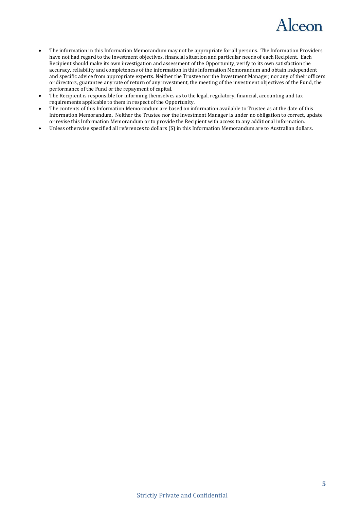

- The information in this Information Memorandum may not be appropriate for all persons. The Information Providers have not had regard to the investment objectives, financial situation and particular needs of each Recipient. Each Recipient should make its own investigation and assessment of the Opportunity, verify to its own satisfaction the accuracy, reliability and completeness of the information in this Information Memorandum and obtain independent and specific advice from appropriate experts. Neither the Trustee nor the Investment Manager, nor any of their officers or directors, guarantee any rate of return of any investment, the meeting of the investment objectives of the Fund, the performance of the Fund or the repayment of capital.
- The Recipient is responsible for informing themselves as to the legal, regulatory, financial, accounting and tax requirements applicable to them in respect of the Opportunity.
- The contents of this Information Memorandum are based on information available to Trustee as at the date of this Information Memorandum. Neither the Trustee nor the Investment Manager is under no obligation to correct, update or revise this Information Memorandum or to provide the Recipient with access to any additional information.
- Unless otherwise specified all references to dollars (\$) in this Information Memorandum are to Australian dollars.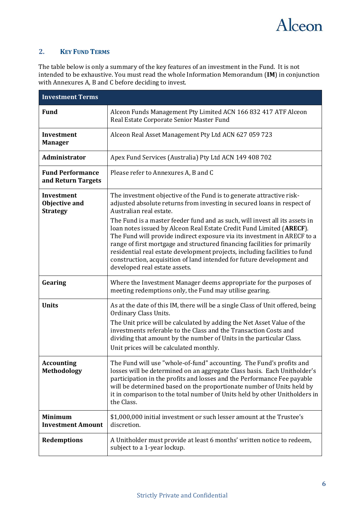

### <span id="page-5-0"></span>**2. KEY FUND TERMS**

The table below is only a summary of the key features of an investment in the Fund. It is not intended to be exhaustive. You must read the whole Information Memorandum (**IM**) in conjunction with Annexures A, B and C before deciding to invest.

| <b>Investment Terms</b>                        |                                                                                                                                                                                                                                                                                                                                                                                                                       |  |
|------------------------------------------------|-----------------------------------------------------------------------------------------------------------------------------------------------------------------------------------------------------------------------------------------------------------------------------------------------------------------------------------------------------------------------------------------------------------------------|--|
| <b>Fund</b>                                    | Alceon Funds Management Pty Limited ACN 166 832 417 ATF Alceon<br>Real Estate Corporate Senior Master Fund                                                                                                                                                                                                                                                                                                            |  |
| Investment<br><b>Manager</b>                   | Alceon Real Asset Management Pty Ltd ACN 627 059 723                                                                                                                                                                                                                                                                                                                                                                  |  |
| Administrator                                  | Apex Fund Services (Australia) Pty Ltd ACN 149 408 702                                                                                                                                                                                                                                                                                                                                                                |  |
| <b>Fund Performance</b><br>and Return Targets  | Please refer to Annexures A, B and C                                                                                                                                                                                                                                                                                                                                                                                  |  |
| Investment<br>Objective and<br><b>Strategy</b> | The investment objective of the Fund is to generate attractive risk-<br>adjusted absolute returns from investing in secured loans in respect of<br>Australian real estate.<br>The Fund is a master feeder fund and as such, will invest all its assets in                                                                                                                                                             |  |
|                                                | loan notes issued by Alceon Real Estate Credit Fund Limited (ARECF).<br>The Fund will provide indirect exposure via its investment in ARECF to a<br>range of first mortgage and structured financing facilities for primarily<br>residential real estate development projects, including facilities to fund<br>construction, acquisition of land intended for future development and<br>developed real estate assets. |  |
| Gearing                                        | Where the Investment Manager deems appropriate for the purposes of<br>meeting redemptions only, the Fund may utilise gearing.                                                                                                                                                                                                                                                                                         |  |
| <b>Units</b>                                   | As at the date of this IM, there will be a single Class of Unit offered, being<br>Ordinary Class Units.<br>The Unit price will be calculated by adding the Net Asset Value of the<br>investments referable to the Class and the Transaction Costs and                                                                                                                                                                 |  |
|                                                | dividing that amount by the number of Units in the particular Class.<br>Unit prices will be calculated monthly.                                                                                                                                                                                                                                                                                                       |  |
| <b>Accounting</b><br><b>Methodology</b>        | The Fund will use "whole-of-fund" accounting. The Fund's profits and<br>losses will be determined on an aggregate Class basis. Each Unitholder's<br>participation in the profits and losses and the Performance Fee payable<br>will be determined based on the proportionate number of Units held by<br>it in comparison to the total number of Units held by other Unitholders in<br>the Class.                      |  |
| <b>Minimum</b><br><b>Investment Amount</b>     | \$1,000,000 initial investment or such lesser amount at the Trustee's<br>discretion.                                                                                                                                                                                                                                                                                                                                  |  |
| <b>Redemptions</b>                             | A Unitholder must provide at least 6 months' written notice to redeem,<br>subject to a 1-year lockup.                                                                                                                                                                                                                                                                                                                 |  |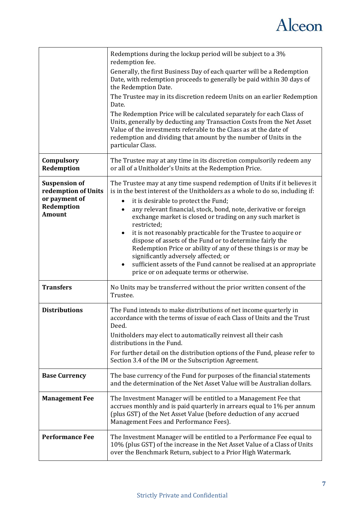

|                                              | Redemptions during the lockup period will be subject to a 3%<br>redemption fee.                                                                                                                                                                                                                               |
|----------------------------------------------|---------------------------------------------------------------------------------------------------------------------------------------------------------------------------------------------------------------------------------------------------------------------------------------------------------------|
|                                              | Generally, the first Business Day of each quarter will be a Redemption<br>Date, with redemption proceeds to generally be paid within 30 days of<br>the Redemption Date.                                                                                                                                       |
|                                              | The Trustee may in its discretion redeem Units on an earlier Redemption<br>Date.                                                                                                                                                                                                                              |
|                                              | The Redemption Price will be calculated separately for each Class of<br>Units, generally by deducting any Transaction Costs from the Net Asset<br>Value of the investments referable to the Class as at the date of<br>redemption and dividing that amount by the number of Units in the<br>particular Class. |
| Compulsory<br>Redemption                     | The Trustee may at any time in its discretion compulsorily redeem any<br>or all of a Unitholder's Units at the Redemption Price.                                                                                                                                                                              |
| <b>Suspension of</b><br>redemption of Units  | The Trustee may at any time suspend redemption of Units if it believes it<br>is in the best interest of the Unitholders as a whole to do so, including if:                                                                                                                                                    |
| or payment of<br>Redemption<br><b>Amount</b> | it is desirable to protect the Fund;<br>٠<br>any relevant financial, stock, bond, note, derivative or foreign<br>٠<br>exchange market is closed or trading on any such market is<br>restricted;                                                                                                               |
|                                              | it is not reasonably practicable for the Trustee to acquire or<br>٠<br>dispose of assets of the Fund or to determine fairly the<br>Redemption Price or ability of any of these things is or may be<br>significantly adversely affected; or                                                                    |
|                                              | sufficient assets of the Fund cannot be realised at an appropriate<br>$\bullet$<br>price or on adequate terms or otherwise.                                                                                                                                                                                   |
| <b>Transfers</b>                             | No Units may be transferred without the prior written consent of the<br>Trustee.                                                                                                                                                                                                                              |
| <b>Distributions</b>                         | The Fund intends to make distributions of net income quarterly in<br>accordance with the terms of issue of each Class of Units and the Trust<br>Deed.                                                                                                                                                         |
|                                              | Unitholders may elect to automatically reinvest all their cash<br>distributions in the Fund.                                                                                                                                                                                                                  |
|                                              | For further detail on the distribution options of the Fund, please refer to<br>Section 3.4 of the IM or the Subscription Agreement.                                                                                                                                                                           |
| <b>Base Currency</b>                         | The base currency of the Fund for purposes of the financial statements<br>and the determination of the Net Asset Value will be Australian dollars.                                                                                                                                                            |
| <b>Management Fee</b>                        | The Investment Manager will be entitled to a Management Fee that<br>accrues monthly and is paid quarterly in arrears equal to 1% per annum<br>(plus GST) of the Net Asset Value (before deduction of any accrued<br>Management Fees and Performance Fees).                                                    |
| <b>Performance Fee</b>                       | The Investment Manager will be entitled to a Performance Fee equal to<br>10% (plus GST) of the increase in the Net Asset Value of a Class of Units<br>over the Benchmark Return, subject to a Prior High Watermark.                                                                                           |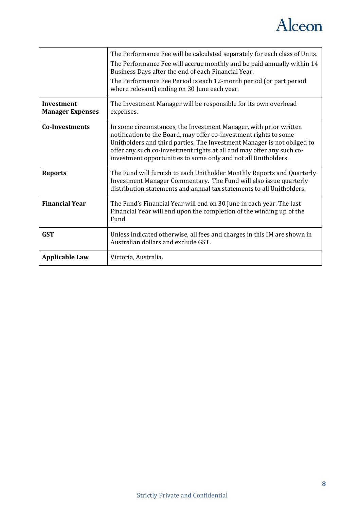

|                                       | The Performance Fee will be calculated separately for each class of Units.<br>The Performance Fee will accrue monthly and be paid annually within 14<br>Business Days after the end of each Financial Year.<br>The Performance Fee Period is each 12-month period (or part period<br>where relevant) ending on 30 June each year.                            |
|---------------------------------------|--------------------------------------------------------------------------------------------------------------------------------------------------------------------------------------------------------------------------------------------------------------------------------------------------------------------------------------------------------------|
| Investment<br><b>Manager Expenses</b> | The Investment Manager will be responsible for its own overhead<br>expenses.                                                                                                                                                                                                                                                                                 |
| <b>Co-Investments</b>                 | In some circumstances, the Investment Manager, with prior written<br>notification to the Board, may offer co-investment rights to some<br>Unitholders and third parties. The Investment Manager is not obliged to<br>offer any such co-investment rights at all and may offer any such co-<br>investment opportunities to some only and not all Unitholders. |
| <b>Reports</b>                        | The Fund will furnish to each Unitholder Monthly Reports and Quarterly<br>Investment Manager Commentary. The Fund will also issue quarterly<br>distribution statements and annual tax statements to all Unitholders.                                                                                                                                         |
| <b>Financial Year</b>                 | The Fund's Financial Year will end on 30 June in each year. The last<br>Financial Year will end upon the completion of the winding up of the<br>Fund.                                                                                                                                                                                                        |
| <b>GST</b>                            | Unless indicated otherwise, all fees and charges in this IM are shown in<br>Australian dollars and exclude GST.                                                                                                                                                                                                                                              |
| <b>Applicable Law</b>                 | Victoria, Australia.                                                                                                                                                                                                                                                                                                                                         |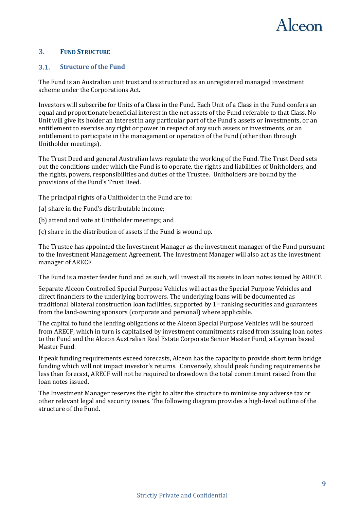

### <span id="page-8-0"></span>**3. FUND STRUCTURE**

#### <span id="page-8-1"></span> $3.1.$ **Structure of the Fund**

The Fund is an Australian unit trust and is structured as an unregistered managed investment scheme under the Corporations Act.

Investors will subscribe for Units of a Class in the Fund. Each Unit of a Class in the Fund confers an equal and proportionate beneficial interest in the net assets of the Fund referable to that Class. No Unit will give its holder an interest in any particular part of the Fund's assets or investments, or an entitlement to exercise any right or power in respect of any such assets or investments, or an entitlement to participate in the management or operation of the Fund (other than through Unitholder meetings).

The Trust Deed and general Australian laws regulate the working of the Fund. The Trust Deed sets out the conditions under which the Fund is to operate, the rights and liabilities of Unitholders, and the rights, powers, responsibilities and duties of the Trustee. Unitholders are bound by the provisions of the Fund's Trust Deed.

The principal rights of a Unitholder in the Fund are to:

- (a) share in the Fund's distributable income;
- (b) attend and vote at Unitholder meetings; and
- (c) share in the distribution of assets if the Fund is wound up.

The Trustee has appointed the Investment Manager as the investment manager of the Fund pursuant to the Investment Management Agreement. The Investment Manager will also act as the investment manager of ARECF.

The Fund is a master feeder fund and as such, will invest all its assets in loan notes issued by ARECF.

Separate Alceon Controlled Special Purpose Vehicles will act as the Special Purpose Vehicles and direct financiers to the underlying borrowers. The underlying loans will be documented as traditional bilateral construction loan facilities, supported by  $1<sup>st</sup>$  ranking securities and guarantees from the land-owning sponsors (corporate and personal) where applicable.

The capital to fund the lending obligations of the Alceon Special Purpose Vehicles will be sourced from ARECF, which in turn is capitalised by investment commitments raised from issuing loan notes to the Fund and the Alceon Australian Real Estate Corporate Senior Master Fund, a Cayman based Master Fund.

If peak funding requirements exceed forecasts, Alceon has the capacity to provide short term bridge funding which will not impact investor's returns. Conversely, should peak funding requirements be less than forecast, ARECF will not be required to drawdown the total commitment raised from the loan notes issued.

The Investment Manager reserves the right to alter the structure to minimise any adverse tax or other relevant legal and security issues. The following diagram provides a high-level outline of the structure of the Fund.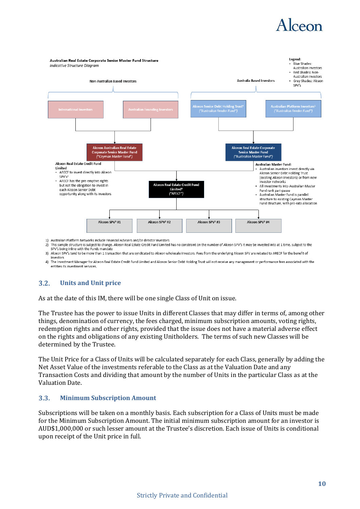## Alceon



 $\overline{2}$ This sample structure is subject to change. Alceon Real Estate Credit Fund Limited has no constraint on the number of Alceon SPV's it may be invested into at 1 time, subject to the SPV's being inline with the Funds mandate 3) Alceon SPV's tend to be more than 1 transaction that are syndicated to Alceon wholesale investors. Fees from the underlying Alceon SPV are rebated to ARECF for the benefit of

investors 4) The Investment Manager for Alceon Real Estate Credit Fund Limited and Alceon Senior Debt Holding Trust will not receive any management or performance fees associated with the

entities its investment services.

#### <span id="page-9-0"></span> $3.2.$ **Units and Unit price**

As at the date of this IM, there will be one single Class of Unit on issue.

The Trustee has the power to issue Units in different Classes that may differ in terms of, among other things, denomination of currency, the fees charged, minimum subscription amounts, voting rights, redemption rights and other rights, provided that the issue does not have a material adverse effect on the rights and obligations of any existing Unitholders. The terms of such new Classes will be determined by the Trustee.

The Unit Price for a Class of Units will be calculated separately for each Class, generally by adding the Net Asset Value of the investments referable to the Class as at the Valuation Date and any Transaction Costs and dividing that amount by the number of Units in the particular Class as at the Valuation Date.

#### <span id="page-9-1"></span>**Minimum Subscription Amount**  $3.3.$

Subscriptions will be taken on a monthly basis. Each subscription for a Class of Units must be made for the Minimum Subscription Amount. The initial minimum subscription amount for an investor is AUD\$1,000,000 or such lesser amount at the Trustee's discretion. Each issue of Units is conditional upon receipt of the Unit price in full.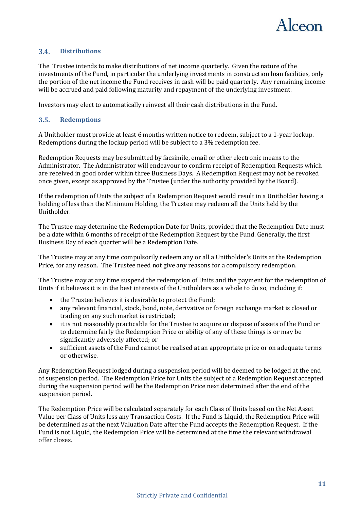

#### <span id="page-10-0"></span> $3.4.$ **Distributions**

The Trustee intends to make distributions of net income quarterly. Given the nature of the investments of the Fund, in particular the underlying investments in construction loan facilities, only the portion of the net income the Fund receives in cash will be paid quarterly. Any remaining income will be accrued and paid following maturity and repayment of the underlying investment.

Investors may elect to automatically reinvest all their cash distributions in the Fund.

#### <span id="page-10-1"></span> $3.5.$ **Redemptions**

A Unitholder must provide at least 6 months written notice to redeem, subject to a 1-year lockup. Redemptions during the lockup period will be subject to a 3% redemption fee.

Redemption Requests may be submitted by facsimile, email or other electronic means to the Administrator. The Administrator will endeavour to confirm receipt of Redemption Requests which are received in good order within three Business Days. A Redemption Request may not be revoked once given, except as approved by the Trustee (under the authority provided by the Board).

If the redemption of Units the subject of a Redemption Request would result in a Unitholder having a holding of less than the Minimum Holding, the Trustee may redeem all the Units held by the Unitholder.

The Trustee may determine the Redemption Date for Units, provided that the Redemption Date must be a date within 6 months of receipt of the Redemption Request by the Fund. Generally, the first Business Day of each quarter will be a Redemption Date.

The Trustee may at any time compulsorily redeem any or all a Unitholder's Units at the Redemption Price, for any reason. The Trustee need not give any reasons for a compulsory redemption.

The Trustee may at any time suspend the redemption of Units and the payment for the redemption of Units if it believes it is in the best interests of the Unitholders as a whole to do so, including if:

- the Trustee believes it is desirable to protect the Fund;
- any relevant financial, stock, bond, note, derivative or foreign exchange market is closed or trading on any such market is restricted;
- it is not reasonably practicable for the Trustee to acquire or dispose of assets of the Fund or to determine fairly the Redemption Price or ability of any of these things is or may be significantly adversely affected; or
- sufficient assets of the Fund cannot be realised at an appropriate price or on adequate terms or otherwise.

Any Redemption Request lodged during a suspension period will be deemed to be lodged at the end of suspension period. The Redemption Price for Units the subject of a Redemption Request accepted during the suspension period will be the Redemption Price next determined after the end of the suspension period.

The Redemption Price will be calculated separately for each Class of Units based on the Net Asset Value per Class of Units less any Transaction Costs. If the Fund is Liquid, the Redemption Price will be determined as at the next Valuation Date after the Fund accepts the Redemption Request. If the Fund is not Liquid, the Redemption Price will be determined at the time the relevant withdrawal offer closes.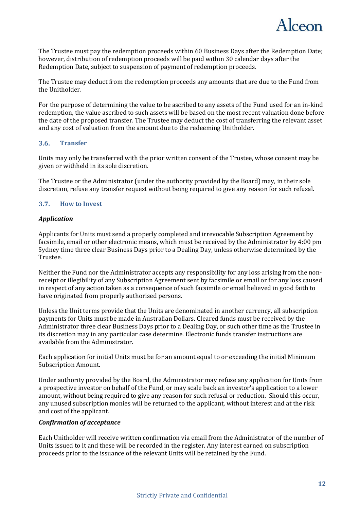

The Trustee must pay the redemption proceeds within 60 Business Days after the Redemption Date; however, distribution of redemption proceeds will be paid within 30 calendar days after the Redemption Date, subject to suspension of payment of redemption proceeds.

The Trustee may deduct from the redemption proceeds any amounts that are due to the Fund from the Unitholder.

For the purpose of determining the value to be ascribed to any assets of the Fund used for an in-kind redemption, the value ascribed to such assets will be based on the most recent valuation done before the date of the proposed transfer. The Trustee may deduct the cost of transferring the relevant asset and any cost of valuation from the amount due to the redeeming Unitholder.

#### <span id="page-11-0"></span> $3.6.$ **Transfer**

Units may only be transferred with the prior written consent of the Trustee, whose consent may be given or withheld in its sole discretion.

The Trustee or the Administrator (under the authority provided by the Board) may, in their sole discretion, refuse any transfer request without being required to give any reason for such refusal.

#### <span id="page-11-1"></span> $3.7.$ **How to Invest**

### *Application*

Applicants for Units must send a properly completed and irrevocable Subscription Agreement by facsimile, email or other electronic means, which must be received by the Administrator by 4:00 pm Sydney time three clear Business Days prior to a Dealing Day, unless otherwise determined by the Trustee.

Neither the Fund nor the Administrator accepts any responsibility for any loss arising from the nonreceipt or illegibility of any Subscription Agreement sent by facsimile or email or for any loss caused in respect of any action taken as a consequence of such facsimile or email believed in good faith to have originated from properly authorised persons.

Unless the Unit terms provide that the Units are denominated in another currency, all subscription payments for Units must be made in Australian Dollars. Cleared funds must be received by the Administrator three clear Business Days prior to a Dealing Day, or such other time as the Trustee in its discretion may in any particular case determine. Electronic funds transfer instructions are available from the Administrator.

Each application for initial Units must be for an amount equal to or exceeding the initial Minimum Subscription Amount.

Under authority provided by the Board, the Administrator may refuse any application for Units from a prospective investor on behalf of the Fund, or may scale back an investor's application to a lower amount, without being required to give any reason for such refusal or reduction. Should this occur, any unused subscription monies will be returned to the applicant, without interest and at the risk and cost of the applicant.

### *Confirmation of acceptance*

Each Unitholder will receive written confirmation via email from the Administrator of the number of Units issued to it and these will be recorded in the register. Any interest earned on subscription proceeds prior to the issuance of the relevant Units will be retained by the Fund.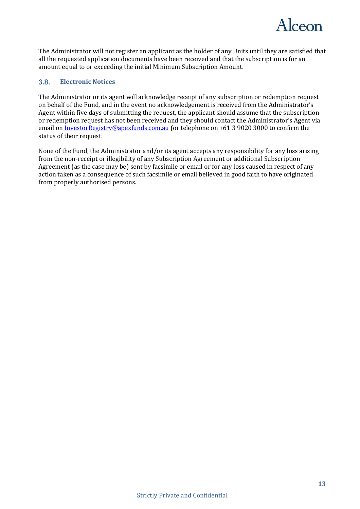

The Administrator will not register an applicant as the holder of any Units until they are satisfied that all the requested application documents have been received and that the subscription is for an amount equal to or exceeding the initial Minimum Subscription Amount.

#### <span id="page-12-0"></span> $3.8.$ **Electronic Notices**

The Administrator or its agent will acknowledge receipt of any subscription or redemption request on behalf of the Fund, and in the event no acknowledgement is received from the Administrator's Agent within five days of submitting the request, the applicant should assume that the subscription or redemption request has not been received and they should contact the Administrator's Agent via email on **InvestorRegistry@apexfunds.com.au** (or telephone on +61 3 9020 3000 to confirm the status of their request.

None of the Fund, the Administrator and/or its agent accepts any responsibility for any loss arising from the non-receipt or illegibility of any Subscription Agreement or additional Subscription Agreement (as the case may be) sent by facsimile or email or for any loss caused in respect of any action taken as a consequence of such facsimile or email believed in good faith to have originated from properly authorised persons.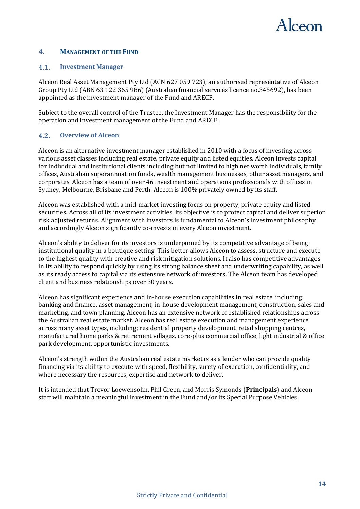

### <span id="page-13-0"></span>**4. MANAGEMENT OF THE FUND**

#### <span id="page-13-1"></span> $4.1.$ **Investment Manager**

Alceon Real Asset Management Pty Ltd (ACN 627 059 723), an authorised representative of Alceon Group Pty Ltd (ABN 63 122 365 986) (Australian financial services licence no.345692), has been appointed as the investment manager of the Fund and ARECF.

Subject to the overall control of the Trustee, the Investment Manager has the responsibility for the operation and investment management of the Fund and ARECF.

#### <span id="page-13-2"></span> $4.2.$ **Overview of Alceon**

Alceon is an alternative investment manager established in 2010 with a focus of investing across various asset classes including real estate, private equity and listed equities. Alceon invests capital for individual and institutional clients including but not limited to high net worth individuals, family offices, Australian superannuation funds, wealth management businesses, other asset managers, and corporates. Alceon has a team of over 46 investment and operations professionals with offices in Sydney, Melbourne, Brisbane and Perth. Alceon is 100% privately owned by its staff.

Alceon was established with a mid-market investing focus on property, private equity and listed securities. Across all of its investment activities, its objective is to protect capital and deliver superior risk adjusted returns. Alignment with investors is fundamental to Alceon's investment philosophy and accordingly Alceon significantly co-invests in every Alceon investment.

Alceon's ability to deliver for its investors is underpinned by its competitive advantage of being institutional quality in a boutique setting. This better allows Alceon to assess, structure and execute to the highest quality with creative and risk mitigation solutions. It also has competitive advantages in its ability to respond quickly by using its strong balance sheet and underwriting capability, as well as its ready access to capital via its extensive network of investors. The Alceon team has developed client and business relationships over 30 years.

Alceon has significant experience and in-house execution capabilities in real estate, including: banking and finance, asset management, in-house development management, construction, sales and marketing, and town planning. Alceon has an extensive network of established relationships across the Australian real estate market. Alceon has real estate execution and management experience across many asset types, including; residential property development, retail shopping centres, manufactured home parks & retirement villages, core-plus commercial office, light industrial & office park development, opportunistic investments.

Alceon's strength within the Australian real estate market is as a lender who can provide quality financing via its ability to execute with speed, flexibility, surety of execution, confidentiality, and where necessary the resources, expertise and network to deliver.

It is intended that Trevor Loewensohn, Phil Green, and Morris Symonds (**Principals**) and Alceon staff will maintain a meaningful investment in the Fund and/or its Special Purpose Vehicles.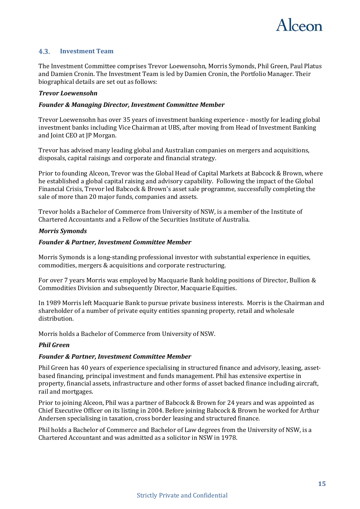

#### <span id="page-14-0"></span> $4.3.$ **Investment Team**

The Investment Committee comprises Trevor Loewensohn, Morris Symonds, Phil Green, Paul Platus and Damien Cronin. The Investment Team is led by Damien Cronin, the Portfolio Manager. Their biographical details are set out as follows:

### *Trevor Loewensohn*

### *Founder & Managing Director, Investment Committee Member*

Trevor Loewensohn has over 35 years of investment banking experience - mostly for leading global investment banks including Vice Chairman at UBS, after moving from Head of Investment Banking and Joint CEO at JP Morgan.

Trevor has advised many leading global and Australian companies on mergers and acquisitions, disposals, capital raisings and corporate and financial strategy.

Prior to founding Alceon, Trevor was the Global Head of Capital Markets at Babcock & Brown, where he established a global capital raising and advisory capability. Following the impact of the Global Financial Crisis, Trevor led Babcock & Brown's asset sale programme, successfully completing the sale of more than 20 major funds, companies and assets.

Trevor holds a Bachelor of Commerce from University of NSW, is a member of the Institute of Chartered Accountants and a Fellow of the Securities Institute of Australia.

### *Morris Symonds*

### *Founder & Partner, Investment Committee Member*

Morris Symonds is a long-standing professional investor with substantial experience in equities, commodities, mergers & acquisitions and corporate restructuring.

For over 7 years Morris was employed by Macquarie Bank holding positions of Director, Bullion & Commodities Division and subsequently Director, Macquarie Equities.

In 1989 Morris left Macquarie Bank to pursue private business interests. Morris is the Chairman and shareholder of a number of private equity entities spanning property, retail and wholesale distribution.

Morris holds a Bachelor of Commerce from University of NSW.

### *Phil Green*

### *Founder & Partner, Investment Committee Member*

Phil Green has 40 years of experience specialising in structured finance and advisory, leasing, assetbased financing, principal investment and funds management. Phil has extensive expertise in property, financial assets, infrastructure and other forms of asset backed finance including aircraft, rail and mortgages.

Prior to joining Alceon, Phil was a partner of Babcock & Brown for 24 years and was appointed as Chief Executive Officer on its listing in 2004. Before joining Babcock & Brown he worked for Arthur Andersen specialising in taxation, cross border leasing and structured finance.

Phil holds a Bachelor of Commerce and Bachelor of Law degrees from the University of NSW, is a Chartered Accountant and was admitted as a solicitor in NSW in 1978.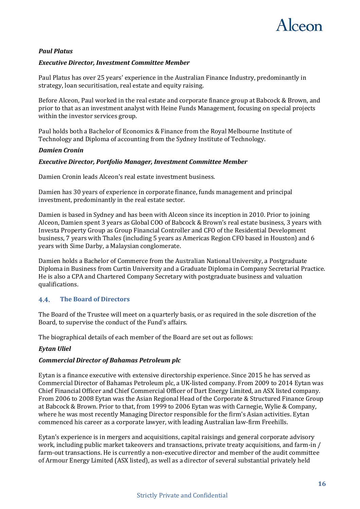

### *Paul Platus*

### *Executive Director, Investment Committee Member*

Paul Platus has over 25 years' experience in the Australian Finance Industry, predominantly in strategy, loan securitisation, real estate and equity raising.

Before Alceon, Paul worked in the real estate and corporate finance group at Babcock & Brown, and prior to that as an investment analyst with Heine Funds Management, focusing on special projects within the investor services group.

Paul holds both a Bachelor of Economics & Finance from the Royal Melbourne Institute of Technology and Diploma of accounting from the Sydney Institute of Technology.

### *Damien Cronin*

### *Executive Director, Portfolio Manager, Investment Committee Member*

Damien Cronin leads Alceon's real estate investment business.

Damien has 30 years of experience in corporate finance, funds management and principal investment, predominantly in the real estate sector.

Damien is based in Sydney and has been with Alceon since its inception in 2010. Prior to joining Alceon, Damien spent 3 years as Global COO of Babcock & Brown's real estate business, 3 years with Investa Property Group as Group Financial Controller and CFO of the Residential Development business, 7 years with Thales (including 5 years as Americas Region CFO based in Houston) and 6 years with Sime Darby, a Malaysian conglomerate.

Damien holds a Bachelor of Commerce from the Australian National University, a Postgraduate Diploma in Business from Curtin University and a Graduate Diploma in Company Secretarial Practice. He is also a CPA and Chartered Company Secretary with postgraduate business and valuation qualifications.

#### <span id="page-15-0"></span> $4.4.$ **The Board of Directors**

The Board of the Trustee will meet on a quarterly basis, or as required in the sole discretion of the Board, to supervise the conduct of the Fund's affairs.

The biographical details of each member of the Board are set out as follows:

### *Eytan Uliel*

### *Commercial Director of Bahamas Petroleum plc*

Eytan is a finance executive with extensive directorship experience. Since 2015 he has served as Commercial Director of Bahamas Petroleum plc, a UK-listed company. From 2009 to 2014 Eytan was Chief Financial Officer and Chief Commercial Officer of Dart Energy Limited, an ASX listed company. From 2006 to 2008 Eytan was the Asian Regional Head of the Corporate & Structured Finance Group at Babcock & Brown. Prior to that, from 1999 to 2006 Eytan was with Carnegie, Wylie & Company, where he was most recently Managing Director responsible for the firm's Asian activities. Eytan commenced his career as a corporate lawyer, with leading Australian law-firm Freehills.

Eytan's experience is in mergers and acquisitions, capital raisings and general corporate advisory work, including public market takeovers and transactions, private treaty acquisitions, and farm-in / farm-out transactions. He is currently a non-executive director and member of the audit committee of Armour Energy Limited (ASX listed), as well as a director of several substantial privately held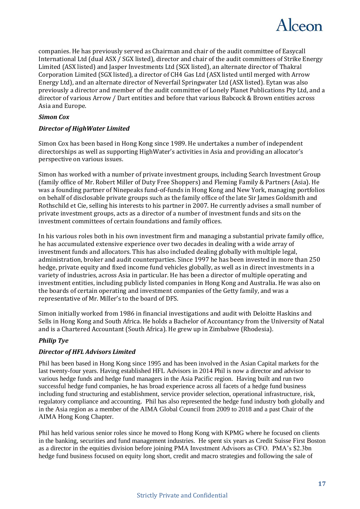

companies. He has previously served as Chairman and chair of the audit committee of Easycall International Ltd (dual ASX / SGX listed), director and chair of the audit committees of Strike Energy Limited (ASX listed) and Jasper Investments Ltd (SGX listed), an alternate director of Thakral Corporation Limited (SGX listed), a director of CH4 Gas Ltd (ASX listed until merged with Arrow Energy Ltd), and an alternate director of Neverfail Springwater Ltd (ASX listed). Eytan was also previously a director and member of the audit committee of Lonely Planet Publications Pty Ltd, and a director of various Arrow / Dart entities and before that various Babcock & Brown entities across Asia and Europe.

### *Simon Cox*

### *Director of HighWater Limited*

Simon Cox has been based in Hong Kong since 1989. He undertakes a number of independent directorships as well as supporting HighWater's activities in Asia and providing an allocator's perspective on various issues.

Simon has worked with a number of private investment groups, including Search Investment Group (family office of Mr. Robert Miller of Duty Free Shoppers) and Fleming Family & Partners (Asia). He was a founding partner of Ninepeaks fund-of-funds in Hong Kong and New York, managing portfolios on behalf of disclosable private groups such as the family office of the late Sir James Goldsmith and Rothschild et Cie, selling his interests to his partner in 2007. He currently advises a small number of private investment groups, acts as a director of a number of investment funds and sits on the investment committees of certain foundations and family offices.

In his various roles both in his own investment firm and managing a substantial private family office, he has accumulated extensive experience over two decades in dealing with a wide array of investment funds and allocators. This has also included dealing globally with multiple legal, administration, broker and audit counterparties. Since 1997 he has been invested in more than 250 hedge, private equity and fixed income fund vehicles globally, as well as in direct investments in a variety of industries, across Asia in particular. He has been a director of multiple operating and investment entities, including publicly listed companies in Hong Kong and Australia. He was also on the boards of certain operating and investment companies of the Getty family, and was a representative of Mr. Miller's to the board of DFS.

Simon initially worked from 1986 in financial investigations and audit with Deloitte Haskins and Sells in Hong Kong and South Africa. He holds a Bachelor of Accountancy from the University of Natal and is a Chartered Accountant (South Africa). He grew up in Zimbabwe (Rhodesia).

### *Philip Tye*

### *Director of HFL Advisors Limited*

Phil has been based in Hong Kong since 1995 and has been involved in the Asian Capital markets for the last twenty-four years. Having established HFL Advisors in 2014 Phil is now a director and advisor to various hedge funds and hedge fund managers in the Asia Pacific region. Having built and run two successful hedge fund companies, he has broad experience across all facets of a hedge fund business including fund structuring and establishment, service provider selection, operational infrastructure, risk, regulatory compliance and accounting. Phil has also represented the hedge fund industry both globally and in the Asia region as a member of the AIMA Global Council from 2009 to 2018 and a past Chair of the AIMA Hong Kong Chapter.

Phil has held various senior roles since he moved to Hong Kong with KPMG where he focused on clients in the banking, securities and fund management industries. He spent six years as Credit Suisse First Boston as a director in the equities division before joining PMA Investment Advisors as CFO. PMA's \$2.3bn hedge fund business focused on equity long short, credit and macro strategies and following the sale of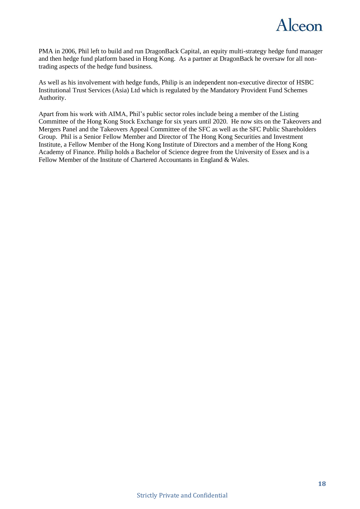

PMA in 2006, Phil left to build and run DragonBack Capital, an equity multi-strategy hedge fund manager and then hedge fund platform based in Hong Kong. As a partner at DragonBack he oversaw for all nontrading aspects of the hedge fund business.

As well as his involvement with hedge funds, Philip is an independent non-executive director of HSBC Institutional Trust Services (Asia) Ltd which is regulated by the Mandatory Provident Fund Schemes Authority.

Apart from his work with AIMA, Phil's public sector roles include being a member of the Listing Committee of the Hong Kong Stock Exchange for six years until 2020. He now sits on the Takeovers and Mergers Panel and the Takeovers Appeal Committee of the SFC as well as the SFC Public Shareholders Group. Phil is a Senior Fellow Member and Director of The Hong Kong Securities and Investment Institute, a Fellow Member of the Hong Kong Institute of Directors and a member of the Hong Kong Academy of Finance. Philip holds a Bachelor of Science degree from the University of Essex and is a Fellow Member of the Institute of Chartered Accountants in England & Wales.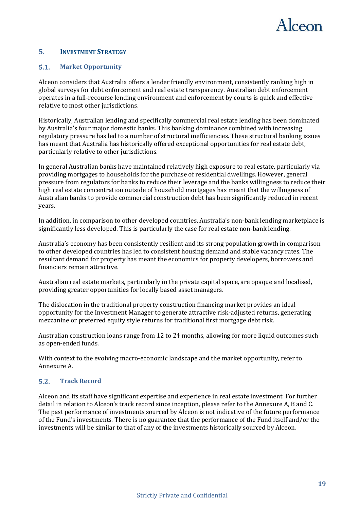

### <span id="page-18-0"></span>**5. INVESTMENT STRATEGY**

#### <span id="page-18-1"></span> $5.1.$ **Market Opportunity**

Alceon considers that Australia offers a lender friendly environment, consistently ranking high in global surveys for debt enforcement and real estate transparency. Australian debt enforcement operates in a full-recourse lending environment and enforcement by courts is quick and effective relative to most other jurisdictions.

Historically, Australian lending and specifically commercial real estate lending has been dominated by Australia's four major domestic banks. This banking dominance combined with increasing regulatory pressure has led to a number of structural inefficiencies. These structural banking issues has meant that Australia has historically offered exceptional opportunities for real estate debt, particularly relative to other jurisdictions.

In general Australian banks have maintained relatively high exposure to real estate, particularly via providing mortgages to households for the purchase of residential dwellings. However, general pressure from regulators for banks to reduce their leverage and the banks willingness to reduce their high real estate concentration outside of household mortgages has meant that the willingness of Australian banks to provide commercial construction debt has been significantly reduced in recent years.

In addition, in comparison to other developed countries, Australia's non-bank lending marketplace is significantly less developed. This is particularly the case for real estate non-bank lending.

Australia's economy has been consistently resilient and its strong population growth in comparison to other developed countries has led to consistent housing demand and stable vacancy rates. The resultant demand for property has meant the economics for property developers, borrowers and financiers remain attractive.

Australian real estate markets, particularly in the private capital space, are opaque and localised, providing greater opportunities for locally based asset managers.

The dislocation in the traditional property construction financing market provides an ideal opportunity for the Investment Manager to generate attractive risk-adjusted returns, generating mezzanine or preferred equity style returns for traditional first mortgage debt risk.

Australian construction loans range from 12 to 24 months, allowing for more liquid outcomes such as open-ended funds.

With context to the evolving macro-economic landscape and the market opportunity, refer to Annexure A.

#### <span id="page-18-2"></span> $5.2.$ **Track Record**

Alceon and its staff have significant expertise and experience in real estate investment. For further detail in relation to Alceon's track record since inception, please refer to the Annexure A, B and C. The past performance of investments sourced by Alceon is not indicative of the future performance of the Fund's investments. There is no guarantee that the performance of the Fund itself and/or the investments will be similar to that of any of the investments historically sourced by Alceon.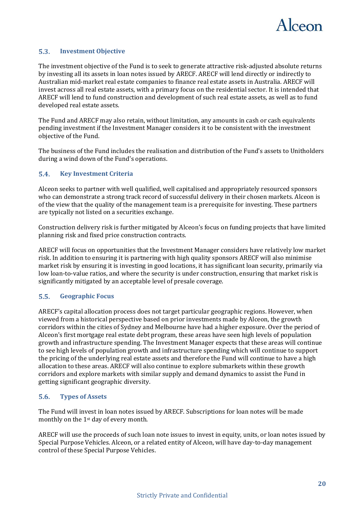

#### <span id="page-19-0"></span> $5.3.$ **Investment Objective**

The investment objective of the Fund is to seek to generate attractive risk-adjusted absolute returns by investing all its assets in loan notes issued by ARECF. ARECF will lend directly or indirectly to Australian mid-market real estate companies to finance real estate assets in Australia. ARECF will invest across all real estate assets, with a primary focus on the residential sector. It is intended that ARECF will lend to fund construction and development of such real estate assets, as well as to fund developed real estate assets.

The Fund and ARECF may also retain, without limitation, any amounts in cash or cash equivalents pending investment if the Investment Manager considers it to be consistent with the investment objective of the Fund.

The business of the Fund includes the realisation and distribution of the Fund's assets to Unitholders during a wind down of the Fund's operations.

#### <span id="page-19-1"></span> $5.4.$ **Key Investment Criteria**

Alceon seeks to partner with well qualified, well capitalised and appropriately resourced sponsors who can demonstrate a strong track record of successful delivery in their chosen markets. Alceon is of the view that the quality of the management team is a prerequisite for investing. These partners are typically not listed on a securities exchange.

Construction delivery risk is further mitigated by Alceon's focus on funding projects that have limited planning risk and fixed price construction contracts.

ARECF will focus on opportunities that the Investment Manager considers have relatively low market risk. In addition to ensuring it is partnering with high quality sponsors ARECF will also minimise market risk by ensuring it is investing in good locations, it has significant loan security, primarily via low loan-to-value ratios, and where the security is under construction, ensuring that market risk is significantly mitigated by an acceptable level of presale coverage.

#### <span id="page-19-2"></span> $5.5.$ **Geographic Focus**

ARECF's capital allocation process does not target particular geographic regions. However, when viewed from a historical perspective based on prior investments made by Alceon, the growth corridors within the cities of Sydney and Melbourne have had a higher exposure. Over the period of Alceon's first mortgage real estate debt program, these areas have seen high levels of population growth and infrastructure spending. The Investment Manager expects that these areas will continue to see high levels of population growth and infrastructure spending which will continue to support the pricing of the underlying real estate assets and therefore the Fund will continue to have a high allocation to these areas. ARECF will also continue to explore submarkets within these growth corridors and explore markets with similar supply and demand dynamics to assist the Fund in getting significant geographic diversity.

#### <span id="page-19-3"></span> $5.6.$ **Types of Assets**

The Fund will invest in loan notes issued by ARECF. Subscriptions for loan notes will be made monthly on the 1st day of every month.

ARECF will use the proceeds of such loan note issues to invest in equity, units, or loan notes issued by Special Purpose Vehicles. Alceon, or a related entity of Alceon, will have day-to-day management control of these Special Purpose Vehicles.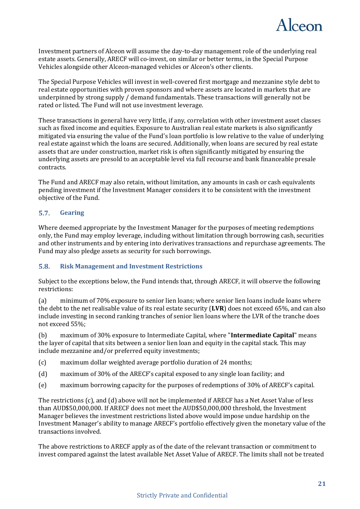

Investment partners of Alceon will assume the day-to-day management role of the underlying real estate assets. Generally, ARECF will co-invest, on similar or better terms, in the Special Purpose Vehicles alongside other Alceon-managed vehicles or Alceon's other clients.

The Special Purpose Vehicles will invest in well-covered first mortgage and mezzanine style debt to real estate opportunities with proven sponsors and where assets are located in markets that are underpinned by strong supply / demand fundamentals. These transactions will generally not be rated or listed. The Fund will not use investment leverage.

These transactions in general have very little, if any, correlation with other investment asset classes such as fixed income and equities. Exposure to Australian real estate markets is also significantly mitigated via ensuring the value of the Fund's loan portfolio is low relative to the value of underlying real estate against which the loans are secured. Additionally, when loans are secured by real estate assets that are under construction, market risk is often significantly mitigated by ensuring the underlying assets are presold to an acceptable level via full recourse and bank financeable presale contracts.

The Fund and ARECF may also retain, without limitation, any amounts in cash or cash equivalents pending investment if the Investment Manager considers it to be consistent with the investment objective of the Fund.

#### <span id="page-20-0"></span> $5.7.$ **Gearing**

Where deemed appropriate by the Investment Manager for the purposes of meeting redemptions only, the Fund may employ leverage, including without limitation through borrowing cash, securities and other instruments and by entering into derivatives transactions and repurchase agreements. The Fund may also pledge assets as security for such borrowings.

#### <span id="page-20-1"></span>**Risk Management and Investment Restrictions**  $5.8.$

Subject to the exceptions below, the Fund intends that, through ARECF, it will observe the following restrictions:

(a) minimum of 70% exposure to senior lien loans; where senior lien loans include loans where the debt to the net realisable value of its real estate security (**LVR**) does not exceed 65%, and can also include investing in second ranking tranches of senior lien loans where the LVR of the tranche does not exceed 55%;

(b) maximum of 30% exposure to Intermediate Capital, where "**Intermediate Capital**" means the layer of capital that sits between a senior lien loan and equity in the capital stack. This may include mezzanine and/or preferred equity investments;

(c) maximum dollar weighted average portfolio duration of 24 months;

- (d) maximum of 30% of the ARECF's capital exposed to any single loan facility; and
- (e) maximum borrowing capacity for the purposes of redemptions of 30% of ARECF's capital.

The restrictions (c), and (d) above will not be implemented if ARECF has a Net Asset Value of less than AUD\$50,000,000. If ARECF does not meet the AUD\$50,000,000 threshold, the Investment Manager believes the investment restrictions listed above would impose undue hardship on the Investment Manager's ability to manage ARECF's portfolio effectively given the monetary value of the transactions involved.

The above restrictions to ARECF apply as of the date of the relevant transaction or commitment to invest compared against the latest available Net Asset Value of ARECF. The limits shall not be treated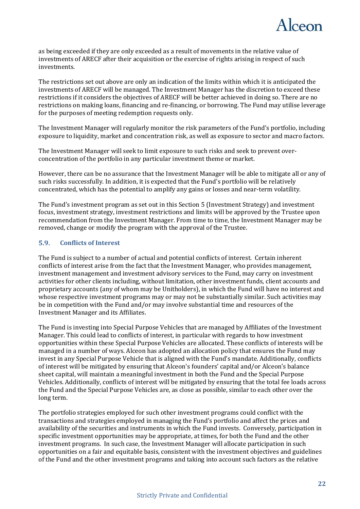

as being exceeded if they are only exceeded as a result of movements in the relative value of investments of ARECF after their acquisition or the exercise of rights arising in respect of such investments.

The restrictions set out above are only an indication of the limits within which it is anticipated the investments of ARECF will be managed. The Investment Manager has the discretion to exceed these restrictions if it considers the objectives of ARECF will be better achieved in doing so. There are no restrictions on making loans, financing and re-financing, or borrowing. The Fund may utilise leverage for the purposes of meeting redemption requests only.

The Investment Manager will regularly monitor the risk parameters of the Fund's portfolio, including exposure to liquidity, market and concentration risk, as well as exposure to sector and macro factors.

The Investment Manager will seek to limit exposure to such risks and seek to prevent overconcentration of the portfolio in any particular investment theme or market.

However, there can be no assurance that the Investment Manager will be able to mitigate all or any of such risks successfully. In addition, it is expected that the Fund's portfolio will be relatively concentrated, which has the potential to amplify any gains or losses and near-term volatility.

The Fund's investment program as set out in this Section 5 (Investment Strategy) and investment focus, investment strategy, investment restrictions and limits will be approved by the Trustee upon recommendation from the Investment Manager. From time to time, the Investment Manager may be removed, change or modify the program with the approval of the Trustee.

#### <span id="page-21-0"></span> $5.9.$ **Conflicts of Interest**

The Fund is subject to a number of actual and potential conflicts of interest. Certain inherent conflicts of interest arise from the fact that the Investment Manager, who provides management, investment management and investment advisory services to the Fund, may carry on investment activities for other clients including, without limitation, other investment funds, client accounts and proprietary accounts (any of whom may be Unitholders), in which the Fund will have no interest and whose respective investment programs may or may not be substantially similar. Such activities may be in competition with the Fund and/or may involve substantial time and resources of the Investment Manager and its Affiliates.

The Fund is investing into Special Purpose Vehicles that are managed by Affiliates of the Investment Manager. This could lead to conflicts of interest, in particular with regards to how investment opportunities within these Special Purpose Vehicles are allocated. These conflicts of interests will be managed in a number of ways. Alceon has adopted an allocation policy that ensures the Fund may invest in any Special Purpose Vehicle that is aligned with the Fund's mandate. Additionally, conflicts of interest will be mitigated by ensuring that Alceon's founders' capital and/or Alceon's balance sheet capital, will maintain a meaningful investment in both the Fund and the Special Purpose Vehicles. Additionally, conflicts of interest will be mitigated by ensuring that the total fee loads across the Fund and the Special Purpose Vehicles are, as close as possible, similar to each other over the long term.

The portfolio strategies employed for such other investment programs could conflict with the transactions and strategies employed in managing the Fund's portfolio and affect the prices and availability of the securities and instruments in which the Fund invests. Conversely, participation in specific investment opportunities may be appropriate, at times, for both the Fund and the other investment programs. In such case, the Investment Manager will allocate participation in such opportunities on a fair and equitable basis, consistent with the investment objectives and guidelines of the Fund and the other investment programs and taking into account such factors as the relative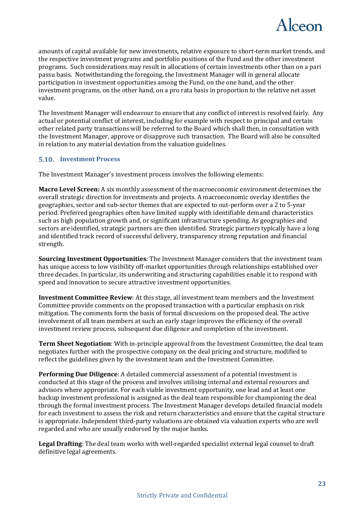

amounts of capital available for new investments, relative exposure to short-term market trends, and the respective investment programs and portfolio positions of the Fund and the other investment programs. Such considerations may result in allocations of certain investments other than on a pari passu basis. Notwithstanding the foregoing, the Investment Manager will in general allocate participation in investment opportunities among the Fund, on the one hand, and the other investment programs, on the other hand, on a pro rata basis in proportion to the relative net asset value.

The Investment Manager will endeavour to ensure that any conflict of interest is resolved fairly. Any actual or potential conflict of interest, including for example with respect to principal and certain other related party transactions will be referred to the Board which shall then, in consultation with the Investment Manager, approve or disapprove such transaction. The Board will also be consulted in relation to any material deviation from the valuation guidelines.

### <span id="page-22-0"></span>**Investment Process**

The Investment Manager's investment process involves the following elements:

**Macro Level Screen:** A six monthly assessment of the macroeconomic environment determines the overall strategic direction for investments and projects. A macroeconomic overlay identifies the geographies, sector and sub-sector themes that are expected to out-perform over a 2 to 5-year period. Preferred geographies often have limited supply with identifiable demand characteristics such as high population growth and, or significant infrastructure spending. As geographies and sectors are identified, strategic partners are then identified. Strategic partners typically have a long and identified track record of successful delivery, transparency strong reputation and financial strength.

**Sourcing Investment Opportunities**: The Investment Manager considers that the investment team has unique access to low visibility off-market opportunities through relationships established over three decades. In particular, its underwriting and structuring capabilities enable it to respond with speed and innovation to secure attractive investment opportunities.

**Investment Committee Review**: At this stage, all investment team members and the Investment Committee provide comments on the proposed transaction with a particular emphasis on risk mitigation. The comments form the basis of formal discussions on the proposed deal. The active involvement of all team members at such an early stage improves the efficiency of the overall investment review process, subsequent due diligence and completion of the investment.

**Term Sheet Negotiation**: With in-principle approval from the Investment Committee, the deal team negotiates further with the prospective company on the deal pricing and structure, modified to reflect the guidelines given by the investment team and the Investment Committee.

**Performing Due Diligence**: A detailed commercial assessment of a potential investment is conducted at this stage of the process and involves utilising internal and external resources and advisors where appropriate. For each viable investment opportunity, one lead and at least one backup investment professional is assigned as the deal team responsible for championing the deal through the formal investment process. The Investment Manager develops detailed financial models for each investment to assess the risk and return characteristics and ensure that the capital structure is appropriate. Independent third-party valuations are obtained via valuation experts who are well regarded and who are usually endorsed by the major banks.

**Legal Drafting**: The deal team works with well-regarded specialist external legal counsel to draft definitive legal agreements.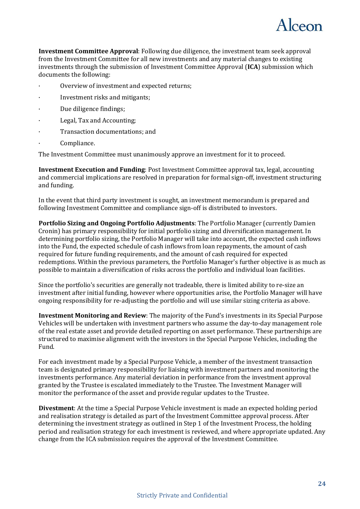

**Investment Committee Approval**: Following due diligence, the investment team seek approval from the Investment Committee for all new investments and any material changes to existing investments through the submission of Investment Committee Approval (**ICA**) submission which documents the following:

- Overview of investment and expected returns;
- · Investment risks and mitigants;
- Due diligence findings;
- Legal, Tax and Accounting;
- · Transaction documentations; and
- Compliance.

The Investment Committee must unanimously approve an investment for it to proceed.

**Investment Execution and Funding**: Post Investment Committee approval tax, legal, accounting and commercial implications are resolved in preparation for formal sign-off, investment structuring and funding.

In the event that third party investment is sought, an investment memorandum is prepared and following Investment Committee and compliance sign-off is distributed to investors.

**Portfolio Sizing and Ongoing Portfolio Adjustments**: The Portfolio Manager (currently Damien Cronin) has primary responsibility for initial portfolio sizing and diversification management. In determining portfolio sizing, the Portfolio Manager will take into account, the expected cash inflows into the Fund, the expected schedule of cash inflows from loan repayments, the amount of cash required for future funding requirements, and the amount of cash required for expected redemptions. Within the previous parameters, the Portfolio Manager's further objective is as much as possible to maintain a diversification of risks across the portfolio and individual loan facilities.

Since the portfolio's securities are generally not tradeable, there is limited ability to re-size an investment after initial funding, however where opportunities arise, the Portfolio Manager will have ongoing responsibility for re-adjusting the portfolio and will use similar sizing criteria as above.

**Investment Monitoring and Review**: The majority of the Fund's investments in its Special Purpose Vehicles will be undertaken with investment partners who assume the day-to-day management role of the real estate asset and provide detailed reporting on asset performance. These partnerships are structured to maximise alignment with the investors in the Special Purpose Vehicles, including the Fund.

For each investment made by a Special Purpose Vehicle, a member of the investment transaction team is designated primary responsibility for liaising with investment partners and monitoring the investments performance. Any material deviation in performance from the investment approval granted by the Trustee is escalated immediately to the Trustee. The Investment Manager will monitor the performance of the asset and provide regular updates to the Trustee.

**Divestment**: At the time a Special Purpose Vehicle investment is made an expected holding period and realisation strategy is detailed as part of the Investment Committee approval process. After determining the investment strategy as outlined in Step 1 of the Investment Process, the holding period and realisation strategy for each investment is reviewed, and where appropriate updated. Any change from the ICA submission requires the approval of the Investment Committee.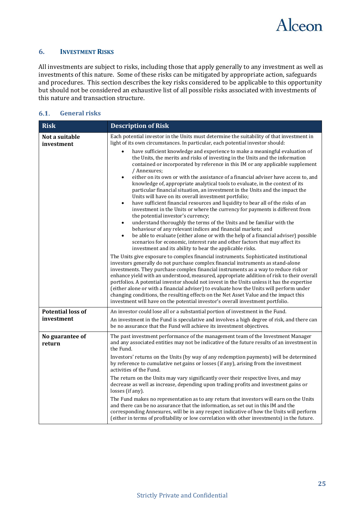

### <span id="page-24-0"></span>**6. INVESTMENT RISKS**

All investments are subject to risks, including those that apply generally to any investment as well as investments of this nature. Some of these risks can be mitigated by appropriate action, safeguards and procedures. This section describes the key risks considered to be applicable to this opportunity but should not be considered an exhaustive list of all possible risks associated with investments of this nature and transaction structure.

#### <span id="page-24-1"></span> $6.1.$ **General risks**

| <b>Risk</b>                            | <b>Description of Risk</b>                                                                                                                                                                                                                                                                                                                                                                                                                                                                                                                                                                                                                                                                                                         |
|----------------------------------------|------------------------------------------------------------------------------------------------------------------------------------------------------------------------------------------------------------------------------------------------------------------------------------------------------------------------------------------------------------------------------------------------------------------------------------------------------------------------------------------------------------------------------------------------------------------------------------------------------------------------------------------------------------------------------------------------------------------------------------|
| Not a suitable<br>investment           | Each potential investor in the Units must determine the suitability of that investment in<br>light of its own circumstances. In particular, each potential investor should:                                                                                                                                                                                                                                                                                                                                                                                                                                                                                                                                                        |
|                                        | have sufficient knowledge and experience to make a meaningful evaluation of<br>the Units, the merits and risks of investing in the Units and the information<br>contained or incorporated by reference in this IM or any applicable supplement<br>/ Annexures;<br>either on its own or with the assistance of a financial adviser have access to, and                                                                                                                                                                                                                                                                                                                                                                              |
|                                        | knowledge of, appropriate analytical tools to evaluate, in the context of its<br>particular financial situation, an investment in the Units and the impact the<br>Units will have on its overall investment portfolio;<br>have sufficient financial resources and liquidity to bear all of the risks of an<br>$\bullet$                                                                                                                                                                                                                                                                                                                                                                                                            |
|                                        | investment in the Units or where the currency for payments is different from<br>the potential investor's currency;<br>understand thoroughly the terms of the Units and be familiar with the<br>$\bullet$                                                                                                                                                                                                                                                                                                                                                                                                                                                                                                                           |
|                                        | behaviour of any relevant indices and financial markets; and<br>be able to evaluate (either alone or with the help of a financial adviser) possible<br>$\bullet$<br>scenarios for economic, interest rate and other factors that may affect its<br>investment and its ability to bear the applicable risks.                                                                                                                                                                                                                                                                                                                                                                                                                        |
|                                        | The Units give exposure to complex financial instruments. Sophisticated institutional<br>investors generally do not purchase complex financial instruments as stand-alone<br>investments. They purchase complex financial instruments as a way to reduce risk or<br>enhance yield with an understood, measured, appropriate addition of risk to their overall<br>portfolios. A potential investor should not invest in the Units unless it has the expertise<br>(either alone or with a financial adviser) to evaluate how the Units will perform under<br>changing conditions, the resulting effects on the Net Asset Value and the impact this<br>investment will have on the potential investor's overall investment portfolio. |
| <b>Potential loss of</b><br>investment | An investor could lose all or a substantial portion of investment in the Fund.<br>An investment in the Fund is speculative and involves a high degree of risk, and there can<br>be no assurance that the Fund will achieve its investment objectives.                                                                                                                                                                                                                                                                                                                                                                                                                                                                              |
| No guarantee of<br>return              | The past investment performance of the management team of the Investment Manager<br>and any associated entities may not be indicative of the future results of an investment in<br>the Fund.                                                                                                                                                                                                                                                                                                                                                                                                                                                                                                                                       |
|                                        | Investors' returns on the Units (by way of any redemption payments) will be determined<br>by reference to cumulative net gains or losses (if any), arising from the investment<br>activities of the Fund.                                                                                                                                                                                                                                                                                                                                                                                                                                                                                                                          |
|                                        | The return on the Units may vary significantly over their respective lives, and may<br>decrease as well as increase, depending upon trading profits and investment gains or<br>losses (if any).                                                                                                                                                                                                                                                                                                                                                                                                                                                                                                                                    |
|                                        | The Fund makes no representation as to any return that investors will earn on the Units<br>and there can be no assurance that the information, as set out in this IM and the<br>corresponding Annexures, will be in any respect indicative of how the Units will perform<br>(either in terms of profitability or low correlation with other investments) in the future.                                                                                                                                                                                                                                                                                                                                                            |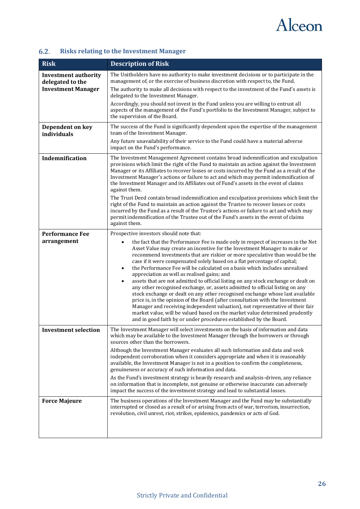

#### <span id="page-25-0"></span> $6.2.$ **Risks relating to the Investment Manager**

| <b>Risk</b>                                                                  | <b>Description of Risk</b>                                                                                                                                                                                                                                                                                                                                                                                                                                                                                                                                                                                                                                                                                                                                                                                                                                                                                                                                                                                                                                                                        |
|------------------------------------------------------------------------------|---------------------------------------------------------------------------------------------------------------------------------------------------------------------------------------------------------------------------------------------------------------------------------------------------------------------------------------------------------------------------------------------------------------------------------------------------------------------------------------------------------------------------------------------------------------------------------------------------------------------------------------------------------------------------------------------------------------------------------------------------------------------------------------------------------------------------------------------------------------------------------------------------------------------------------------------------------------------------------------------------------------------------------------------------------------------------------------------------|
| <b>Investment authority</b><br>delegated to the<br><b>Investment Manager</b> | The Unitholders have no authority to make investment decisions or to participate in the<br>management of, or the exercise of business discretion with respect to, the Fund.<br>The authority to make all decisions with respect to the investment of the Fund's assets is                                                                                                                                                                                                                                                                                                                                                                                                                                                                                                                                                                                                                                                                                                                                                                                                                         |
|                                                                              | delegated to the Investment Manager.<br>Accordingly, you should not invest in the Fund unless you are willing to entrust all<br>aspects of the management of the Fund's portfolio to the Investment Manager, subject to<br>the supervision of the Board.                                                                                                                                                                                                                                                                                                                                                                                                                                                                                                                                                                                                                                                                                                                                                                                                                                          |
| Dependent on key<br>individuals                                              | The success of the Fund is significantly dependent upon the expertise of the management<br>team of the Investment Manager.                                                                                                                                                                                                                                                                                                                                                                                                                                                                                                                                                                                                                                                                                                                                                                                                                                                                                                                                                                        |
|                                                                              | Any future unavailability of their service to the Fund could have a material adverse<br>impact on the Fund's performance.                                                                                                                                                                                                                                                                                                                                                                                                                                                                                                                                                                                                                                                                                                                                                                                                                                                                                                                                                                         |
| Indemnification                                                              | The Investment Management Agreement contains broad indemnification and exculpation<br>provisions which limit the right of the Fund to maintain an action against the Investment<br>Manager or its Affiliates to recover losses or costs incurred by the Fund as a result of the<br>Investment Manager's actions or failure to act and which may permit indemnification of<br>the Investment Manager and its Affiliates out of Fund's assets in the event of claims<br>against them.<br>The Trust Deed contain broad indemnification and exculpation provisions which limit the                                                                                                                                                                                                                                                                                                                                                                                                                                                                                                                    |
|                                                                              | right of the Fund to maintain an action against the Trustee to recover losses or costs<br>incurred by the Fund as a result of the Trustee's actions or failure to act and which may<br>permit indemnification of the Trustee out of the Fund's assets in the event of claims<br>against them.                                                                                                                                                                                                                                                                                                                                                                                                                                                                                                                                                                                                                                                                                                                                                                                                     |
| <b>Performance Fee</b><br>arrangement                                        | Prospective investors should note that:<br>the fact that the Performance Fee is made only in respect of increases in the Net<br>Asset Value may create an incentive for the Investment Manager to make or<br>recommend investments that are riskier or more speculative than would be the<br>case if it were compensated solely based on a flat percentage of capital;<br>the Performance Fee will be calculated on a basis which includes unrealised<br>$\bullet$<br>appreciation as well as realised gains; and<br>assets that are not admitted to official listing on any stock exchange or dealt on<br>any other recognised exchange, or, assets admitted to official listing on any<br>stock exchange or dealt on any other recognised exchange whose last available<br>price is, in the opinion of the Board (after consultation with the Investment<br>Manager and receiving independent valuation), not representative of their fair<br>market value, will be valued based on the market value determined prudently<br>and in good faith by or under procedures established by the Board. |
| <b>Investment selection</b>                                                  | The Investment Manager will select investments on the basis of information and data<br>which may be available to the Investment Manager through the borrowers or through<br>sources other than the borrowers.<br>Although the Investment Manager evaluates all such information and data and seek<br>independent corroboration when it considers appropriate and when it is reasonably<br>available, the Investment Manager is not in a position to confirm the completeness,<br>genuineness or accuracy of such information and data.<br>As the Fund's investment strategy is heavily research and analysis-driven, any reliance<br>on information that is incomplete, not genuine or otherwise inaccurate can adversely<br>impact the success of the investment strategy and lead to substantial losses.                                                                                                                                                                                                                                                                                        |
| <b>Force Majeure</b>                                                         | The business operations of the Investment Manager and the Fund may be substantially<br>interrupted or closed as a result of or arising from acts of war, terrorism, insurrection,<br>revolution, civil unrest, riot, strikes, epidemics, pandemics or acts of God.                                                                                                                                                                                                                                                                                                                                                                                                                                                                                                                                                                                                                                                                                                                                                                                                                                |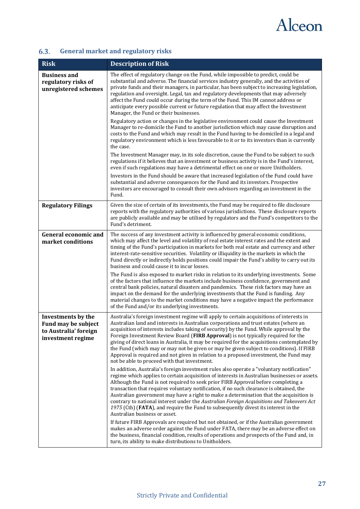

#### <span id="page-26-0"></span> $6.3.$ **General market and regulatory risks**

| <b>Risk</b>                                                                                    | <b>Description of Risk</b>                                                                                                                                                                                                                                                                                                                                                                                                                                                                                                                                                                                                                                                                            |
|------------------------------------------------------------------------------------------------|-------------------------------------------------------------------------------------------------------------------------------------------------------------------------------------------------------------------------------------------------------------------------------------------------------------------------------------------------------------------------------------------------------------------------------------------------------------------------------------------------------------------------------------------------------------------------------------------------------------------------------------------------------------------------------------------------------|
| <b>Business and</b><br>regulatory risks of<br>unregistered schemes                             | The effect of regulatory change on the Fund, while impossible to predict, could be<br>substantial and adverse. The financial services industry generally, and the activities of<br>private funds and their managers, in particular, has been subject to increasing legislation,<br>regulation and oversight. Legal, tax and regulatory developments that may adversely<br>affect the Fund could occur during the term of the Fund. This IM cannot address or<br>anticipate every possible current or future regulation that may affect the Investment<br>Manager, the Fund or their businesses.                                                                                                       |
|                                                                                                | Regulatory action or changes in the legislative environment could cause the Investment<br>Manager to re-domicile the Fund to another jurisdiction which may cause disruption and<br>costs to the Fund and which may result in the Fund having to be domiciled in a legal and<br>regulatory environment which is less favourable to it or to its investors than is currently<br>the case.                                                                                                                                                                                                                                                                                                              |
|                                                                                                | The Investment Manager may, in its sole discretion, cause the Fund to be subject to such<br>regulations if it believes that an investment or business activity is in the Fund's interest,<br>even if such regulations may have a detrimental effect on one or more Unitholders.                                                                                                                                                                                                                                                                                                                                                                                                                       |
|                                                                                                | Investors in the Fund should be aware that increased legislation of the Fund could have<br>substantial and adverse consequences for the Fund and its investors. Prospective<br>investors are encouraged to consult their own advisors regarding an investment in the<br>Fund.                                                                                                                                                                                                                                                                                                                                                                                                                         |
| <b>Regulatory Filings</b>                                                                      | Given the size of certain of its investments, the Fund may be required to file disclosure<br>reports with the regulatory authorities of various jurisdictions. These disclosure reports<br>are publicly available and may be utilised by regulators and the Fund's competitors to the<br>Fund's detriment.                                                                                                                                                                                                                                                                                                                                                                                            |
| <b>General economic and</b><br>market conditions                                               | The success of any investment activity is influenced by general economic conditions,<br>which may affect the level and volatility of real estate interest rates and the extent and<br>timing of the Fund's participation in markets for both real estate and currency and other<br>interest-rate-sensitive securities. Volatility or illiquidity in the markets in which the<br>Fund directly or indirectly holds positions could impair the Fund's ability to carry out its<br>business and could cause it to incur losses.                                                                                                                                                                          |
|                                                                                                | The Fund is also exposed to market risks in relation to its underlying investments. Some<br>of the factors that influence the markets include business confidence, government and<br>central bank policies, natural disasters and pandemics. These risk factors may have an<br>impact on the demand for the underlying investments that the Fund is funding. Any<br>material changes to the market conditions may have a negative impact the performance<br>of the Fund and/or its underlying investments.                                                                                                                                                                                            |
| Investments by the<br><b>Fund may be subject</b><br>to Australia' foreign<br>investment regime | Australia's foreign investment regime will apply to certain acquisitions of interests in<br>Australian land and interests in Australian corporations and trust estates (where an<br>acquisition of interests includes taking of security) by the Fund. While approval by the<br>Foreign Investment Review Board (FIRB Approval) is not typically required for the<br>giving of direct loans in Australia, it may be required for the acquisitions contemplated by<br>the Fund (which may or may not be given or may be given subject to conditions). If FIRB<br>Approval is required and not given in relation to a proposed investment, the Fund may<br>not be able to proceed with that investment. |
|                                                                                                | In addition, Australia's foreign investment rules also operate a "voluntary notification"<br>regime which applies to certain acquisition of interests in Australian businesses or assets.<br>Although the Fund is not required to seek prior FIRB Approval before completing a<br>transaction that requires voluntary notification, if no such clearance is obtained, the<br>Australian government may have a right to make a determination that the acquisition is<br>contrary to national interest under the Australian Foreign Acquisitions and Takeovers Act<br>1975 (Cth) (FATA), and require the Fund to subsequently divest its interest in the<br>Australian business or asset.               |
|                                                                                                | If future FIRB Approvals are required but not obtained, or if the Australian government<br>makes an adverse order against the Fund under FATA, there may be an adverse effect on<br>the business, financial condition, results of operations and prospects of the Fund and, in<br>turn, its ability to make distributions to Unitholders.                                                                                                                                                                                                                                                                                                                                                             |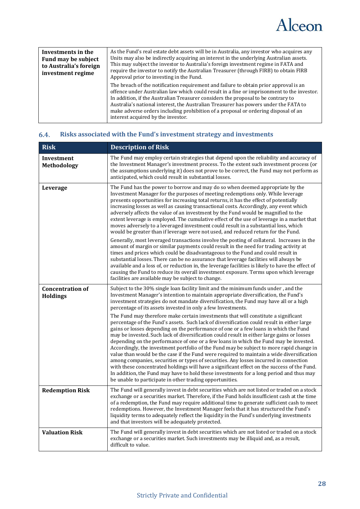

| Investments in the<br>Fund may be subject<br>to Australia's foreign<br>investment regime | As the Fund's real estate debt assets will be in Australia, any investor who acquires any<br>Units may also be indirectly acquiring an interest in the underlying Australian assets.<br>This may subject the investor to Australia's foreign investment regime in FATA and<br>require the investor to notify the Australian Treasurer (through FIRB) to obtain FIRB<br>Approval prior to investing in the Fund.                                                                              |
|------------------------------------------------------------------------------------------|----------------------------------------------------------------------------------------------------------------------------------------------------------------------------------------------------------------------------------------------------------------------------------------------------------------------------------------------------------------------------------------------------------------------------------------------------------------------------------------------|
|                                                                                          | The breach of the notification requirement and failure to obtain prior approval is an<br>offence under Australian law which could result in a fine or imprisonment to the investor.<br>In addition, if the Australian Treasurer considers the proposal to be contrary to<br>Australia's national interest, the Australian Treasurer has powers under the FATA to<br>make adverse orders including prohibition of a proposal or ordering disposal of an<br>interest acquired by the investor. |

| <b>Risk</b>                                | <b>Description of Risk</b>                                                                                                                                                                                                                                                                                                                                                                                                                                                                                                                                                                                                                                                                                                                                                                                                                                                                                                                                                                              |
|--------------------------------------------|---------------------------------------------------------------------------------------------------------------------------------------------------------------------------------------------------------------------------------------------------------------------------------------------------------------------------------------------------------------------------------------------------------------------------------------------------------------------------------------------------------------------------------------------------------------------------------------------------------------------------------------------------------------------------------------------------------------------------------------------------------------------------------------------------------------------------------------------------------------------------------------------------------------------------------------------------------------------------------------------------------|
| Investment<br>Methodology                  | The Fund may employ certain strategies that depend upon the reliability and accuracy of<br>the Investment Manager's investment process. To the extent such investment process (or<br>the assumptions underlying it) does not prove to be correct, the Fund may not perform as<br>anticipated, which could result in substantial losses.                                                                                                                                                                                                                                                                                                                                                                                                                                                                                                                                                                                                                                                                 |
| Leverage                                   | The Fund has the power to borrow and may do so when deemed appropriate by the<br>Investment Manager for the purposes of meeting redemptions only. While leverage<br>presents opportunities for increasing total returns, it has the effect of potentially<br>increasing losses as well as causing transactional costs. Accordingly, any event which<br>adversely affects the value of an investment by the Fund would be magnified to the<br>extent leverage is employed. The cumulative effect of the use of leverage in a market that<br>moves adversely to a leveraged investment could result in a substantial loss, which<br>would be greater than if leverage were not used, and reduced return for the Fund.<br>Generally, most leveraged transactions involve the posting of collateral. Increases in the                                                                                                                                                                                       |
|                                            | amount of margin or similar payments could result in the need for trading activity at<br>times and prices which could be disadvantageous to the Fund and could result in<br>substantial losses. There can be no assurance that leverage facilities will always be<br>available and a loss of, or reduction in, the leverage facilities is likely to have the effect of<br>causing the Fund to reduce its overall investment exposure. Terms upon which leverage<br>facilities are available may be subject to change.                                                                                                                                                                                                                                                                                                                                                                                                                                                                                   |
| <b>Concentration of</b><br><b>Holdings</b> | Subject to the 30% single loan facility limit and the minimum funds under, and the<br>Investment Manager's intention to maintain appropriate diversification, the Fund's<br>investment strategies do not mandate diversification, the Fund may have all or a high<br>percentage of its assets invested in only a few Investments.                                                                                                                                                                                                                                                                                                                                                                                                                                                                                                                                                                                                                                                                       |
|                                            | The Fund may therefore make certain investments that will constitute a significant<br>percentage of the Fund's assets. Such lack of diversification could result in either large<br>gains or losses depending on the performance of one or a few loans in which the Fund<br>may be invested. Such lack of diversification could result in either large gains or losses<br>depending on the performance of one or a few loans in which the Fund may be invested.<br>Accordingly, the investment portfolio of the Fund may be subject to more rapid change in<br>value than would be the case if the Fund were required to maintain a wide diversification<br>among companies, securities or types of securities. Any losses incurred in connection<br>with these concentrated holdings will have a significant effect on the success of the Fund.<br>In addition, the Fund may have to hold these investments for a long period and thus may<br>be unable to participate in other trading opportunities. |
| <b>Redemption Risk</b>                     | The Fund will generally invest in debt securities which are not listed or traded on a stock<br>exchange or a securities market. Therefore, if the Fund holds insufficient cash at the time<br>of a redemption, the Fund may require additional time to generate sufficient cash to meet<br>redemptions. However, the Investment Manager feels that it has structured the Fund's<br>liquidity terms to adequately reflect the liquidity in the Fund's underlying investments<br>and that investors will be adequately protected.                                                                                                                                                                                                                                                                                                                                                                                                                                                                         |
| <b>Valuation Risk</b>                      | The Fund will generally invest in debt securities which are not listed or traded on a stock<br>exchange or a securities market. Such investments may be illiquid and, as a result,<br>difficult to value.                                                                                                                                                                                                                                                                                                                                                                                                                                                                                                                                                                                                                                                                                                                                                                                               |

### <span id="page-27-0"></span>**Risks associated with the Fund's investment strategy and investments**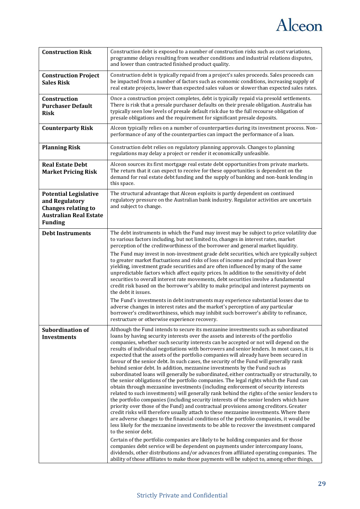

| <b>Construction Risk</b>                                                                                                        | Construction debt is exposed to a number of construction risks such as cost variations,<br>programme delays resulting from weather conditions and industrial relations disputes,<br>and lower than contracted finished product quality.                                                                                                                                                                                                                                                                                                                                                                                                                                                                                                                                                                                                                                                                                                                                                                                                                                                                                                                                                                                                                                                                                                                                                                                                                                                                                                                                                                                                                                                                                                                                                                                                                                |
|---------------------------------------------------------------------------------------------------------------------------------|------------------------------------------------------------------------------------------------------------------------------------------------------------------------------------------------------------------------------------------------------------------------------------------------------------------------------------------------------------------------------------------------------------------------------------------------------------------------------------------------------------------------------------------------------------------------------------------------------------------------------------------------------------------------------------------------------------------------------------------------------------------------------------------------------------------------------------------------------------------------------------------------------------------------------------------------------------------------------------------------------------------------------------------------------------------------------------------------------------------------------------------------------------------------------------------------------------------------------------------------------------------------------------------------------------------------------------------------------------------------------------------------------------------------------------------------------------------------------------------------------------------------------------------------------------------------------------------------------------------------------------------------------------------------------------------------------------------------------------------------------------------------------------------------------------------------------------------------------------------------|
| <b>Construction Project</b><br><b>Sales Risk</b>                                                                                | Construction debt is typically repaid from a project's sales proceeds. Sales proceeds can<br>be impacted from a number of factors such as economic conditions, increasing supply of<br>real estate projects, lower than expected sales values or slower than expected sales rates.                                                                                                                                                                                                                                                                                                                                                                                                                                                                                                                                                                                                                                                                                                                                                                                                                                                                                                                                                                                                                                                                                                                                                                                                                                                                                                                                                                                                                                                                                                                                                                                     |
| Construction<br><b>Purchaser Default</b><br><b>Risk</b>                                                                         | Once a construction project completes, debt is typically repaid via presold settlements.<br>There is risk that a presale purchaser defaults on their presale obligation. Australia has<br>typically seen low levels of presale default risk due to the full recourse obligation of<br>presale obligations and the requirement for significant presale deposits.                                                                                                                                                                                                                                                                                                                                                                                                                                                                                                                                                                                                                                                                                                                                                                                                                                                                                                                                                                                                                                                                                                                                                                                                                                                                                                                                                                                                                                                                                                        |
| <b>Counterparty Risk</b>                                                                                                        | Alceon typically relies on a number of counterparties during its investment process. Non-<br>performance of any of the counterparties can impact the performance of a loan.                                                                                                                                                                                                                                                                                                                                                                                                                                                                                                                                                                                                                                                                                                                                                                                                                                                                                                                                                                                                                                                                                                                                                                                                                                                                                                                                                                                                                                                                                                                                                                                                                                                                                            |
| <b>Planning Risk</b>                                                                                                            | Construction debt relies on regulatory planning approvals. Changes to planning<br>regulations may delay a project or render it economically unfeasible.                                                                                                                                                                                                                                                                                                                                                                                                                                                                                                                                                                                                                                                                                                                                                                                                                                                                                                                                                                                                                                                                                                                                                                                                                                                                                                                                                                                                                                                                                                                                                                                                                                                                                                                |
| <b>Real Estate Debt</b><br><b>Market Pricing Risk</b>                                                                           | Alceon sources its first mortgage real estate debt opportunities from private markets.<br>The return that it can expect to receive for these opportunities is dependent on the<br>demand for real estate debt funding and the supply of banking and non-bank lending in<br>this space.                                                                                                                                                                                                                                                                                                                                                                                                                                                                                                                                                                                                                                                                                                                                                                                                                                                                                                                                                                                                                                                                                                                                                                                                                                                                                                                                                                                                                                                                                                                                                                                 |
| <b>Potential Legislative</b><br>and Regulatory<br><b>Changes relating to</b><br><b>Australian Real Estate</b><br><b>Funding</b> | The structural advantage that Alceon exploits is partly dependent on continued<br>regulatory pressure on the Australian bank industry. Regulator activities are uncertain<br>and subject to change.                                                                                                                                                                                                                                                                                                                                                                                                                                                                                                                                                                                                                                                                                                                                                                                                                                                                                                                                                                                                                                                                                                                                                                                                                                                                                                                                                                                                                                                                                                                                                                                                                                                                    |
| <b>Debt Instruments</b>                                                                                                         | The debt instruments in which the Fund may invest may be subject to price volatility due<br>to various factors including, but not limited to, changes in interest rates, market<br>perception of the creditworthiness of the borrower and general market liquidity.                                                                                                                                                                                                                                                                                                                                                                                                                                                                                                                                                                                                                                                                                                                                                                                                                                                                                                                                                                                                                                                                                                                                                                                                                                                                                                                                                                                                                                                                                                                                                                                                    |
|                                                                                                                                 | The Fund may invest in non-investment grade debt securities, which are typically subject<br>to greater market fluctuations and risks of loss of income and principal than lower<br>yielding, investment grade securities and are often influenced by many of the same<br>unpredictable factors which affect equity prices. In addition to the sensitivity of debt<br>securities to overall interest rate movements, debt securities involve a fundamental<br>credit risk based on the borrower's ability to make principal and interest payments on<br>the debt it issues.                                                                                                                                                                                                                                                                                                                                                                                                                                                                                                                                                                                                                                                                                                                                                                                                                                                                                                                                                                                                                                                                                                                                                                                                                                                                                             |
|                                                                                                                                 | The Fund's investments in debt instruments may experience substantial losses due to<br>adverse changes in interest rates and the market's perception of any particular<br>borrower's creditworthiness, which may inhibit such borrower's ability to refinance,<br>restructure or otherwise experience recovery.                                                                                                                                                                                                                                                                                                                                                                                                                                                                                                                                                                                                                                                                                                                                                                                                                                                                                                                                                                                                                                                                                                                                                                                                                                                                                                                                                                                                                                                                                                                                                        |
| <b>Subordination of</b><br><b>Investments</b>                                                                                   | Although the Fund intends to secure its mezzanine investments such as subordinated<br>loans by having security interests over the assets and interests of the portfolio<br>companies, whether such security interests can be accepted or not will depend on the<br>results of individual negotiations with borrowers and senior lenders. In most cases, it is<br>expected that the assets of the portfolio companies will already have been secured in<br>favour of the senior debt. In such cases, the security of the Fund will generally rank<br>behind senior debt. In addition, mezzanine investments by the Fund such as<br>subordinated loans will generally be subordinated, either contractually or structurally, to<br>the senior obligations of the portfolio companies. The legal rights which the Fund can<br>obtain through mezzanine investments (including enforcement of security interests<br>related to such investments) will generally rank behind the rights of the senior lenders to<br>the portfolio companies (including security interests of the senior lenders which have<br>priority over those of the Fund) and contractual provisions among creditors. Greater<br>credit risks will therefore usually attach to these mezzanine investments. Where there<br>are adverse changes to the financial conditions of the portfolio companies, it would be<br>less likely for the mezzanine investments to be able to recover the investment compared<br>to the senior debt.<br>Certain of the portfolio companies are likely to be holding companies and for those<br>companies debt service will be dependent on payments under intercompany loans,<br>dividends, other distributions and/or advances from affiliated operating companies. The<br>ability of those affiliates to make those payments will be subject to, among other things, |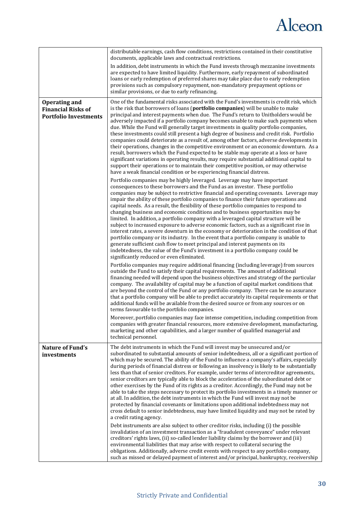

|                                                                                   | distributable earnings, cash flow conditions, restrictions contained in their constitutive<br>documents, applicable laws and contractual restrictions.                                                                                                                                                                                                                                                                                                                                                                                                                                                                                                                                                                                                                                                                                                                                                                                                                                                                                                                                                                                                                                                                                                                                                                                                                                                                                                                                                                                                                                                                                                                                                                                                                                                            |
|-----------------------------------------------------------------------------------|-------------------------------------------------------------------------------------------------------------------------------------------------------------------------------------------------------------------------------------------------------------------------------------------------------------------------------------------------------------------------------------------------------------------------------------------------------------------------------------------------------------------------------------------------------------------------------------------------------------------------------------------------------------------------------------------------------------------------------------------------------------------------------------------------------------------------------------------------------------------------------------------------------------------------------------------------------------------------------------------------------------------------------------------------------------------------------------------------------------------------------------------------------------------------------------------------------------------------------------------------------------------------------------------------------------------------------------------------------------------------------------------------------------------------------------------------------------------------------------------------------------------------------------------------------------------------------------------------------------------------------------------------------------------------------------------------------------------------------------------------------------------------------------------------------------------|
|                                                                                   | In addition, debt instruments in which the Fund invests through mezzanine investments<br>are expected to have limited liquidity. Furthermore, early repayment of subordinated<br>loans or early redemption of preferred shares may take place due to early redemption<br>provisions such as compulsory repayment, non-mandatory prepayment options or<br>similar provisions, or due to early refinancing.                                                                                                                                                                                                                                                                                                                                                                                                                                                                                                                                                                                                                                                                                                                                                                                                                                                                                                                                                                                                                                                                                                                                                                                                                                                                                                                                                                                                         |
| <b>Operating and</b><br><b>Financial Risks of</b><br><b>Portfolio Investments</b> | One of the fundamental risks associated with the Fund's investments is credit risk, which<br>is the risk that borrowers of loans (portfolio companies) will be unable to make<br>principal and interest payments when due. The Fund's return to Unitholders would be<br>adversely impacted if a portfolio company becomes unable to make such payments when<br>due. While the Fund will generally target investments in quality portfolio companies,<br>these investments could still present a high degree of business and credit risk. Portfolio<br>companies could deteriorate as a result of, among other factors, adverse developments in<br>their operations, changes in the competitive environment or an economic downturn. As a<br>result, borrowers which the Fund expected to be stable may operate at a loss or have<br>significant variations in operating results, may require substantial additional capital to<br>support their operations or to maintain their competitive position, or may otherwise<br>have a weak financial condition or be experiencing financial distress.<br>Portfolio companies may be highly leveraged. Leverage may have important<br>consequences to these borrowers and the Fund as an investor. These portfolio<br>companies may be subject to restrictive financial and operating covenants. Leverage may<br>impair the ability of these portfolio companies to finance their future operations and<br>capital needs. As a result, the flexibility of these portfolio companies to respond to<br>changing business and economic conditions and to business opportunities may be<br>limited. In addition, a portfolio company with a leveraged capital structure will be<br>subject to increased exposure to adverse economic factors, such as a significant rise in |
|                                                                                   | interest rates, a severe downturn in the economy or deterioration in the condition of that<br>portfolio company or its industry. In the event that a portfolio company is unable to<br>generate sufficient cash flow to meet principal and interest payments on its<br>indebtedness, the value of the Fund's investment in a portfolio company could be<br>significantly reduced or even eliminated.<br>Portfolio companies may require additional financing (including leverage) from sources<br>outside the Fund to satisfy their capital requirements. The amount of additional<br>financing needed will depend upon the business objectives and strategy of the particular<br>company. The availability of capital may be a function of capital market conditions that<br>are beyond the control of the Fund or any portfolio company. There can be no assurance<br>that a portfolio company will be able to predict accurately its capital requirements or that<br>additional funds will be available from the desired source or from any sources or on<br>terms favourable to the portfolio companies.<br>Moreover, portfolio companies may face intense competition, including competition from                                                                                                                                                                                                                                                                                                                                                                                                                                                                                                                                                                                                            |
|                                                                                   | companies with greater financial resources, more extensive development, manufacturing,<br>marketing and other capabilities, and a larger number of qualified managerial and<br>technical personnel.                                                                                                                                                                                                                                                                                                                                                                                                                                                                                                                                                                                                                                                                                                                                                                                                                                                                                                                                                                                                                                                                                                                                                                                                                                                                                                                                                                                                                                                                                                                                                                                                               |
| Nature of Fund's<br>investments                                                   | The debt instruments in which the Fund will invest may be unsecured and/or<br>subordinated to substantial amounts of senior indebtedness, all or a significant portion of<br>which may be secured. The ability of the Fund to influence a company's affairs, especially<br>during periods of financial distress or following an insolvency is likely to be substantially<br>less than that of senior creditors. For example, under terms of intercreditor agreements,<br>senior creditors are typically able to block the acceleration of the subordinated debt or<br>other exercises by the Fund of its rights as a creditor. Accordingly, the Fund may not be<br>able to take the steps necessary to protect its portfolio investments in a timely manner or<br>at all. In addition, the debt instruments in which the Fund will invest may not be<br>protected by financial covenants or limitations upon additional indebtedness may not<br>cross default to senior indebtedness, may have limited liquidity and may not be rated by<br>a credit rating agency.                                                                                                                                                                                                                                                                                                                                                                                                                                                                                                                                                                                                                                                                                                                                               |
|                                                                                   | Debt instruments are also subject to other creditor risks, including (i) the possible<br>invalidation of an investment transaction as a "fraudulent conveyance" under relevant<br>creditors' rights laws, (ii) so-called lender liability claims by the borrower and (iii)<br>environmental liabilities that may arise with respect to collateral securing the<br>obligations. Additionally, adverse credit events with respect to any portfolio company,<br>such as missed or delayed payment of interest and/or principal, bankruptcy, receivership                                                                                                                                                                                                                                                                                                                                                                                                                                                                                                                                                                                                                                                                                                                                                                                                                                                                                                                                                                                                                                                                                                                                                                                                                                                             |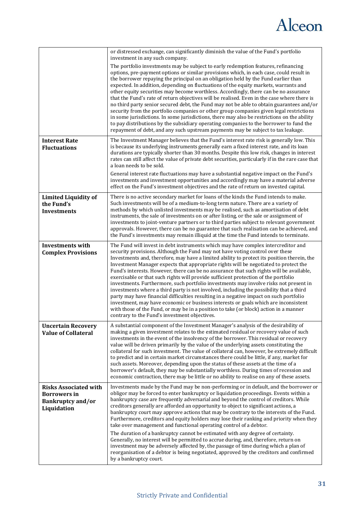

|                                                                                                | or distressed exchange, can significantly diminish the value of the Fund's portfolio<br>investment in any such company.                                                                                                                                                                                                                                                                                                                                                                                                                                                                                                                                                                                                                                                                                                                                                                                                                                                                                                                                     |
|------------------------------------------------------------------------------------------------|-------------------------------------------------------------------------------------------------------------------------------------------------------------------------------------------------------------------------------------------------------------------------------------------------------------------------------------------------------------------------------------------------------------------------------------------------------------------------------------------------------------------------------------------------------------------------------------------------------------------------------------------------------------------------------------------------------------------------------------------------------------------------------------------------------------------------------------------------------------------------------------------------------------------------------------------------------------------------------------------------------------------------------------------------------------|
|                                                                                                | The portfolio investments may be subject to early redemption features, refinancing<br>options, pre-payment options or similar provisions which, in each case, could result in<br>the borrower repaying the principal on an obligation held by the Fund earlier than<br>expected. In addition, depending on fluctuations of the equity markets, warrants and<br>other equity securities may become worthless. Accordingly, there can be no assurance<br>that the Fund's rate of return objectives will be realised. Even in the case where there is<br>no third party senior secured debt, the Fund may not be able to obtain guarantees and/or<br>security from the portfolio companies or other group companies given legal restrictions<br>in some jurisdictions. In some jurisdictions, there may also be restrictions on the ability<br>to pay distributions by the subsidiary operating companies to the borrower to fund the<br>repayment of debt, and any such upstream payments may be subject to tax leakage.                                      |
| <b>Interest Rate</b><br><b>Fluctuations</b>                                                    | The Investment Manager believes that the Fund's interest rate risk is generally low. This<br>is because its underlying instruments generally earn a fixed interest rate, and its loan<br>durations are typically shorter than 30 months. Despite this low risk, changes in interest<br>rates can still affect the value of private debt securities, particularly if in the rare case that<br>a loan needs to be sold.                                                                                                                                                                                                                                                                                                                                                                                                                                                                                                                                                                                                                                       |
|                                                                                                | General interest rate fluctuations may have a substantial negative impact on the Fund's<br>investments and investment opportunities and accordingly may have a material adverse<br>effect on the Fund's investment objectives and the rate of return on invested capital.                                                                                                                                                                                                                                                                                                                                                                                                                                                                                                                                                                                                                                                                                                                                                                                   |
| <b>Limited Liquidity of</b><br>the Fund's<br><b>Investments</b>                                | There is no active secondary market for loans of the kinds the Fund intends to make.<br>Such investments will be of a medium-to-long term nature. There are a variety of<br>methods by which unlisted investments may be realised, such as amortisation of debt<br>instruments, the sale of investments on or after listing, or the sale or assignment of<br>investments to joint-venture partners or to third parties subject to relevant government<br>approvals. However, there can be no guarantee that such realisation can be achieved, and<br>the Fund's investments may remain illiquid at the time the Fund intends to terminate.                                                                                                                                                                                                                                                                                                                                                                                                                  |
| <b>Investments with</b><br><b>Complex Provisions</b>                                           | The Fund will invest in debt instruments which may have complex intercreditor and<br>security provisions. Although the Fund may not have voting control over these<br>Investments and, therefore, may have a limited ability to protect its position therein, the<br>Investment Manager expects that appropriate rights will be negotiated to protect the<br>Fund's interests. However, there can be no assurance that such rights will be available,<br>exercisable or that such rights will provide sufficient protection of the portfolio<br>investments. Furthermore, such portfolio investments may involve risks not present in<br>investments where a third party is not involved, including the possibility that a third<br>party may have financial difficulties resulting in a negative impact on such portfolio<br>investment, may have economic or business interests or goals which are inconsistent<br>with those of the Fund, or may be in a position to take (or block) action in a manner<br>contrary to the Fund's investment objectives. |
| <b>Uncertain Recovery</b><br><b>Value of Collateral</b>                                        | A substantial component of the Investment Manager's analysis of the desirability of<br>making a given investment relates to the estimated residual or recovery value of such<br>investments in the event of the insolvency of the borrower. This residual or recovery<br>value will be driven primarily by the value of the underlying assets constituting the<br>collateral for such investment. The value of collateral can, however, be extremely difficult<br>to predict and in certain market circumstances there could be little, if any, market for<br>such assets. Moreover, depending upon the status of these assets at the time of a<br>borrower's default, they may be substantially worthless. During times of recession and<br>economic contraction, there may be little or no ability to realise on any of these assets.                                                                                                                                                                                                                     |
| <b>Risks Associated with</b><br><b>Borrowers</b> in<br><b>Bankruptcy and/or</b><br>Liquidation | Investments made by the Fund may be non-performing or in default, and the borrower or<br>obligor may be forced to enter bankruptcy or liquidation proceedings. Events within a<br>bankruptcy case are frequently adversarial and beyond the control of creditors. While<br>creditors generally are afforded an opportunity to object to significant actions, a<br>bankruptcy court may approve actions that may be contrary to the interests of the Fund.<br>Furthermore, creditors and equity holders may lose their ranking and priority when they<br>take over management and functional operating control of a debtor.<br>The duration of a bankruptcy cannot be estimated with any degree of certainty.<br>Generally, no interest will be permitted to accrue during, and, therefore, return on<br>investment may be adversely affected by, the passage of time during which a plan of<br>reorganisation of a debtor is being negotiated, approved by the creditors and confirmed                                                                      |
|                                                                                                | by a bankruptcy court.                                                                                                                                                                                                                                                                                                                                                                                                                                                                                                                                                                                                                                                                                                                                                                                                                                                                                                                                                                                                                                      |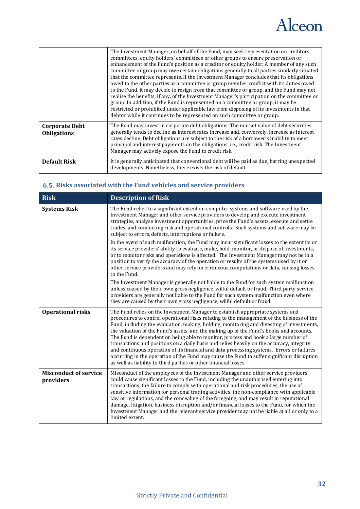

|                                             | The Investment Manager, on behalf of the Fund, may seek representation on creditors'<br>committees, equity holders' committees or other groups to ensure preservation or<br>enhancement of the Fund's position as a creditor or equity holder. A member of any such<br>committee or group may owe certain obligations generally to all parties similarly situated<br>that the committee represents. If the Investment Manager concludes that its obligations<br>owed to the other parties as a committee or group member conflict with its duties owed<br>to the Fund, it may decide to resign from that committee or group, and the Fund may not<br>realise the benefits, if any, of the Investment Manager's participation on the committee or<br>group. In addition, if the Fund is represented on a committee or group, it may be<br>restricted or prohibited under applicable law from disposing of its investments in that<br>debtor while it continues to be represented on such committee or group. |
|---------------------------------------------|-------------------------------------------------------------------------------------------------------------------------------------------------------------------------------------------------------------------------------------------------------------------------------------------------------------------------------------------------------------------------------------------------------------------------------------------------------------------------------------------------------------------------------------------------------------------------------------------------------------------------------------------------------------------------------------------------------------------------------------------------------------------------------------------------------------------------------------------------------------------------------------------------------------------------------------------------------------------------------------------------------------|
| <b>Corporate Debt</b><br><b>Obligations</b> | The Fund may invest in corporate debt obligations. The market value of debt securities<br>generally tends to decline as interest rates increase and, conversely, increase as interest<br>rates decline. Debt obligations are subject to the risk of a borrower's inability to meet<br>principal and interest payments on the obligations, i.e., credit risk. The Investment<br>Manager may actively expose the Fund to credit risk.                                                                                                                                                                                                                                                                                                                                                                                                                                                                                                                                                                         |
| <b>Default Risk</b>                         | It is generally anticipated that conventional debt will be paid as due, barring unexpected<br>developments. Nonetheless, there exists the risk of default.                                                                                                                                                                                                                                                                                                                                                                                                                                                                                                                                                                                                                                                                                                                                                                                                                                                  |

### <span id="page-31-0"></span>**Risks associated with the Fund vehicles and service providers**

| <b>Risk</b>                               | <b>Description of Risk</b>                                                                                                                                                                                                                                                                                                                                                                                                                                                                                                                                                                                                                                                                                                                                                                                            |
|-------------------------------------------|-----------------------------------------------------------------------------------------------------------------------------------------------------------------------------------------------------------------------------------------------------------------------------------------------------------------------------------------------------------------------------------------------------------------------------------------------------------------------------------------------------------------------------------------------------------------------------------------------------------------------------------------------------------------------------------------------------------------------------------------------------------------------------------------------------------------------|
| <b>Systems Risk</b>                       | The Fund relies to a significant extent on computer systems and software used by the<br>Investment Manager and other service providers to develop and execute investment<br>strategies, analyse investment opportunities, price the Fund's assets, execute and settle<br>trades, and conducting risk and operational controls. Such systems and software may be<br>subject to errors, defects, interruptions or failure.                                                                                                                                                                                                                                                                                                                                                                                              |
|                                           | In the event of such malfunction, the Fund may incur significant losses to the extent its or<br>its service providers' ability to evaluate, make, hold, monitor, or dispose of investments,<br>or to monitor risks and operations is affected. The Investment Manager may not be in a<br>position to verify the accuracy of the operation or results of the systems used by it or<br>other service providers and may rely on erroneous computations or data, causing losses<br>to the Fund.                                                                                                                                                                                                                                                                                                                           |
|                                           | The Investment Manager is generally not liable to the Fund for such system malfunction<br>unless caused by their own gross negligence, wilful default or fraud. Third party service<br>providers are generally not liable to the Fund for such system malfunction even where<br>they are caused by their own gross negligence, wilful default or fraud.                                                                                                                                                                                                                                                                                                                                                                                                                                                               |
| <b>Operational risks</b>                  | The Fund relies on the Investment Manager to establish appropriate systems and<br>procedures to control operational risks relating to the management of the business of the<br>Fund, including the evaluation, making, holding, monitoring and divesting of investments,<br>the valuation of the Fund's assets, and the making up of the Fund's books and accounts.<br>The Fund is dependent on being able to monitor, process and book a large number of<br>transactions and positions on a daily basis and relies heavily on the accuracy, integrity<br>and continuous operation of its financial and data processing systems. Errors or failures<br>occurring in the operation of the Fund may cause the Fund to suffer significant disruption<br>as well as liability to third parties or other financial losses. |
| <b>Misconduct of service</b><br>providers | Misconduct of the employees of the Investment Manager and other service providers<br>could cause significant losses to the Fund, including the unauthorised entering into<br>transactions, the failure to comply with operational and risk procedures, the use of<br>sensitive information for personal trading activities, the non-compliance with applicable<br>law or regulations, and the concealing of the foregoing, and may result in reputational<br>damage, litigation, business disruption and/or financial losses to the Fund, for which the<br>Investment Manager and the relevant service provider may not be liable at all or only to a<br>limited extent.                                                                                                                                              |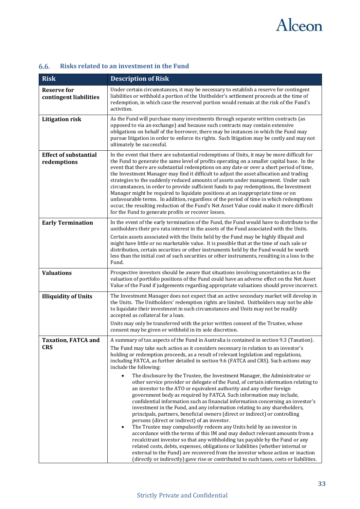

| <b>Risk</b>                                  | <b>Description of Risk</b>                                                                                                                                                                                                                                                                                                                                                                                                                                                                                                                                                                                                                                                                                                                                                                                                                                                                                                                                                                                                                                                                                                                                                                                                                                                                                                                                                                                                                                                                                                                      |
|----------------------------------------------|-------------------------------------------------------------------------------------------------------------------------------------------------------------------------------------------------------------------------------------------------------------------------------------------------------------------------------------------------------------------------------------------------------------------------------------------------------------------------------------------------------------------------------------------------------------------------------------------------------------------------------------------------------------------------------------------------------------------------------------------------------------------------------------------------------------------------------------------------------------------------------------------------------------------------------------------------------------------------------------------------------------------------------------------------------------------------------------------------------------------------------------------------------------------------------------------------------------------------------------------------------------------------------------------------------------------------------------------------------------------------------------------------------------------------------------------------------------------------------------------------------------------------------------------------|
| <b>Reserve for</b><br>contingent liabilities | Under certain circumstances, it may be necessary to establish a reserve for contingent<br>liabilities or withhold a portion of the Unitholder's settlement proceeds at the time of<br>redemption, in which case the reserved portion would remain at the risk of the Fund's<br>activities.                                                                                                                                                                                                                                                                                                                                                                                                                                                                                                                                                                                                                                                                                                                                                                                                                                                                                                                                                                                                                                                                                                                                                                                                                                                      |
| <b>Litigation risk</b>                       | As the Fund will purchase many investments through separate written contracts (as<br>opposed to via an exchange) and because such contracts may contain extensive<br>obligations on behalf of the borrower, there may be instances in which the Fund may<br>pursue litigation in order to enforce its rights. Such litigation may be costly and may not<br>ultimately be successful.                                                                                                                                                                                                                                                                                                                                                                                                                                                                                                                                                                                                                                                                                                                                                                                                                                                                                                                                                                                                                                                                                                                                                            |
| <b>Effect of substantial</b><br>redemptions  | In the event that there are substantial redemptions of Units, it may be more difficult for<br>the Fund to generate the same level of profits operating on a smaller capital base. In the<br>event that there are substantial redemptions on any date or over a short period of time,<br>the Investment Manager may find it difficult to adjust the asset allocation and trading<br>strategies to the suddenly reduced amounts of assets under management. Under such<br>circumstances, in order to provide sufficient funds to pay redemptions, the Investment<br>Manager might be required to liquidate positions at an inappropriate time or on<br>unfavourable terms. In addition, regardless of the period of time in which redemptions<br>occur, the resulting reduction of the Fund's Net Asset Value could make it more difficult<br>for the Fund to generate profits or recover losses.                                                                                                                                                                                                                                                                                                                                                                                                                                                                                                                                                                                                                                                 |
| <b>Early Termination</b>                     | In the event of the early termination of the Fund, the Fund would have to distribute to the<br>unitholders their pro rata interest in the assets of the Fund associated with the Units.<br>Certain assets associated with the Units held by the Fund may be highly illiquid and<br>might have little or no marketable value. It is possible that at the time of such sale or<br>distribution, certain securities or other instruments held by the Fund would be worth<br>less than the initial cost of such securities or other instruments, resulting in a loss to the<br>Fund.                                                                                                                                                                                                                                                                                                                                                                                                                                                                                                                                                                                                                                                                                                                                                                                                                                                                                                                                                                |
| <b>Valuations</b>                            | Prospective investors should be aware that situations involving uncertainties as to the<br>valuation of portfolio positions of the Fund could have an adverse effect on the Net Asset<br>Value of the Fund if judgements regarding appropriate valuations should prove incorrect.                                                                                                                                                                                                                                                                                                                                                                                                                                                                                                                                                                                                                                                                                                                                                                                                                                                                                                                                                                                                                                                                                                                                                                                                                                                               |
| <b>Illiquidity of Units</b>                  | The Investment Manager does not expect that an active secondary market will develop in<br>the Units. The Unitholders' redemption rights are limited. Unitholders may not be able<br>to liquidate their investment in such circumstances and Units may not be readily<br>accepted as collateral for a loan.<br>Units may only be transferred with the prior written consent of the Trustee, whose<br>consent may be given or withheld in its sole discretion.                                                                                                                                                                                                                                                                                                                                                                                                                                                                                                                                                                                                                                                                                                                                                                                                                                                                                                                                                                                                                                                                                    |
| <b>Taxation, FATCA and</b><br><b>CRS</b>     | A summary of tax aspects of the Fund in Australia is contained in section 9.3 (Taxation).<br>The Fund may take such action as it considers necessary in relation to an investor's<br>holding or redemption proceeds, as a result of relevant legislation and regulations,<br>including FATCA, as further detailed in section 9.6 (FATCA and CRS). Such actions may<br>include the following:<br>The disclosure by the Trustee, the Investment Manager, the Administrator or<br>$\bullet$<br>other service provider or delegate of the Fund, of certain information relating to<br>an investor to the ATO or equivalent authority and any other foreign<br>government body as required by FATCA. Such information may include,<br>confidential information such as financial information concerning an investor's<br>investment in the Fund, and any information relating to any shareholders,<br>principals, partners, beneficial owners (direct or indirect) or controlling<br>persons (direct or indirect) of an investor.<br>The Trustee may compulsorily redeem any Units held by an investor in<br>$\bullet$<br>accordance with the terms of this IM and may deduct relevant amounts from a<br>recalcitrant investor so that any withholding tax payable by the Fund or any<br>related costs, debts, expenses, obligations or liabilities (whether internal or<br>external to the Fund) are recovered from the investor whose action or inaction<br>(directly or indirectly) gave rise or contributed to such taxes, costs or liabilities. |

### <span id="page-32-0"></span>**Risks related to an investment in the Fund**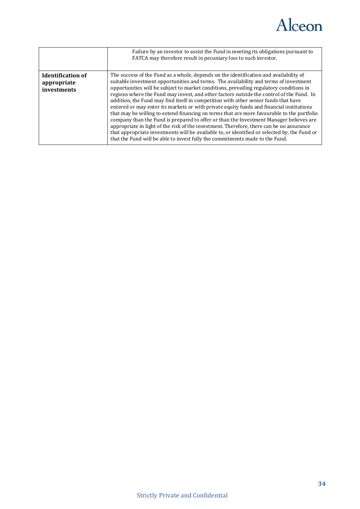

|                                                        | Failure by an investor to assist the Fund in meeting its obligations pursuant to<br>FATCA may therefore result in pecuniary loss to such investor.                                                                                                                                                                                                                                                                                                                                                                                                                                                                                                                                                                                                                                                                                                                                                                                                                                                                           |
|--------------------------------------------------------|------------------------------------------------------------------------------------------------------------------------------------------------------------------------------------------------------------------------------------------------------------------------------------------------------------------------------------------------------------------------------------------------------------------------------------------------------------------------------------------------------------------------------------------------------------------------------------------------------------------------------------------------------------------------------------------------------------------------------------------------------------------------------------------------------------------------------------------------------------------------------------------------------------------------------------------------------------------------------------------------------------------------------|
| <b>Identification of</b><br>appropriate<br>investments | The success of the Fund as a whole, depends on the identification and availability of<br>suitable investment opportunities and terms. The availability and terms of investment<br>opportunities will be subject to market conditions, prevailing regulatory conditions in<br>regions where the Fund may invest, and other factors outside the control of the Fund. In<br>addition, the Fund may find itself in competition with other senior funds that have<br>entered or may enter its markets or with private equity funds and financial institutions<br>that may be willing to extend financing on terms that are more favourable to the portfolio<br>company than the Fund is prepared to offer or than the Investment Manager believes are<br>appropriate in light of the risk of the investment. Therefore, there can be no assurance<br>that appropriate investments will be available to, or identified or selected by, the Fund or<br>that the Fund will be able to invest fully the commitments made to the Fund. |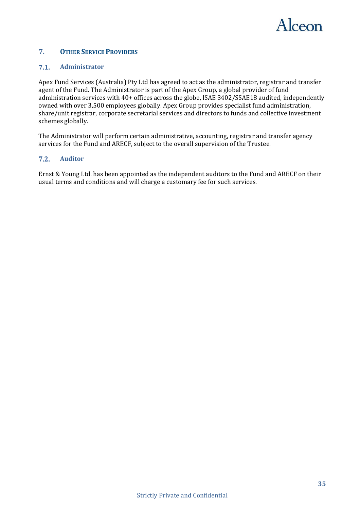

### <span id="page-34-0"></span>**7. OTHER SERVICE PROVIDERS**

#### <span id="page-34-1"></span> $7.1.$ **Administrator**

Apex Fund Services (Australia) Pty Ltd has agreed to act as the administrator, registrar and transfer agent of the Fund. The Administrator is part of the Apex Group, a global provider of fund administration services with 40+ offices across the globe, ISAE 3402/SSAE18 audited, independently owned with over 3,500 employees globally. Apex Group provides specialist fund administration, share/unit registrar, corporate secretarial services and directors to funds and collective investment schemes globally.

The Administrator will perform certain administrative, accounting, registrar and transfer agency services for the Fund and ARECF, subject to the overall supervision of the Trustee.

#### <span id="page-34-2"></span> $7.2.$ **Auditor**

Ernst & Young Ltd. has been appointed as the independent auditors to the Fund and ARECF on their usual terms and conditions and will charge a customary fee for such services.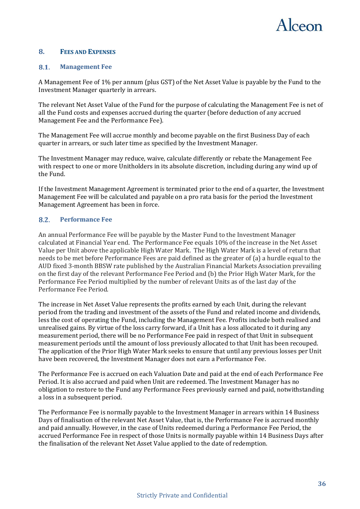

### <span id="page-35-0"></span>**8. FEES AND EXPENSES**

#### <span id="page-35-1"></span>8.1. **Management Fee**

A Management Fee of 1% per annum (plus GST) of the Net Asset Value is payable by the Fund to the Investment Manager quarterly in arrears.

The relevant Net Asset Value of the Fund for the purpose of calculating the Management Fee is net of all the Fund costs and expenses accrued during the quarter (before deduction of any accrued Management Fee and the Performance Fee).

The Management Fee will accrue monthly and become payable on the first Business Day of each quarter in arrears, or such later time as specified by the Investment Manager.

The Investment Manager may reduce, waive, calculate differently or rebate the Management Fee with respect to one or more Unitholders in its absolute discretion, including during any wind up of the Fund.

If the Investment Management Agreement is terminated prior to the end of a quarter, the Investment Management Fee will be calculated and payable on a pro rata basis for the period the Investment Management Agreement has been in force.

#### <span id="page-35-2"></span> $8.2.$ **Performance Fee**

An annual Performance Fee will be payable by the Master Fund to the Investment Manager calculated at Financial Year end. The Performance Fee equals 10% of the increase in the Net Asset Value per Unit above the applicable High Water Mark. The High Water Mark is a level of return that needs to be met before Performance Fees are paid defined as the greater of (a) a hurdle equal to the AUD fixed 3-month BBSW rate published by the Australian Financial Markets Association prevailing on the first day of the relevant Performance Fee Period and (b) the Prior High Water Mark, for the Performance Fee Period multiplied by the number of relevant Units as of the last day of the Performance Fee Period.

The increase in Net Asset Value represents the profits earned by each Unit, during the relevant period from the trading and investment of the assets of the Fund and related income and dividends, less the cost of operating the Fund, including the Management Fee. Profits include both realised and unrealised gains. By virtue of the loss carry forward, if a Unit has a loss allocated to it during any measurement period, there will be no Performance Fee paid in respect of that Unit in subsequent measurement periods until the amount of loss previously allocated to that Unit has been recouped. The application of the Prior High Water Mark seeks to ensure that until any previous losses per Unit have been recovered, the Investment Manager does not earn a Performance Fee.

The Performance Fee is accrued on each Valuation Date and paid at the end of each Performance Fee Period. It is also accrued and paid when Unit are redeemed. The Investment Manager has no obligation to restore to the Fund any Performance Fees previously earned and paid, notwithstanding a loss in a subsequent period.

The Performance Fee is normally payable to the Investment Manager in arrears within 14 Business Days of finalisation of the relevant Net Asset Value, that is, the Performance Fee is accrued monthly and paid annually. However, in the case of Units redeemed during a Performance Fee Period, the accrued Performance Fee in respect of those Units is normally payable within 14 Business Days after the finalisation of the relevant Net Asset Value applied to the date of redemption.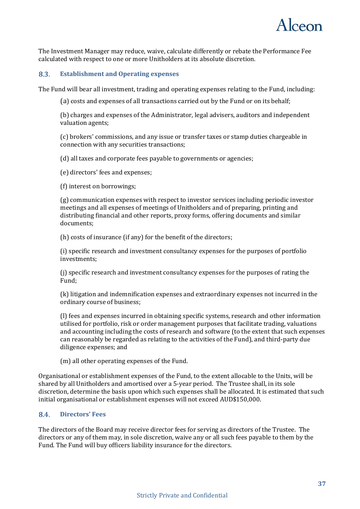

The Investment Manager may reduce, waive, calculate differently or rebate the Performance Fee calculated with respect to one or more Unitholders at its absolute discretion.

#### <span id="page-36-0"></span>8.3. **Establishment and Operating expenses**

The Fund will bear all investment, trading and operating expenses relating to the Fund, including:

(a) costs and expenses of all transactions carried out by the Fund or on its behalf;

(b) charges and expenses of the Administrator, legal advisers, auditors and independent valuation agents;

(c) brokers' commissions, and any issue or transfer taxes or stamp duties chargeable in connection with any securities transactions;

(d) all taxes and corporate fees payable to governments or agencies;

(e) directors' fees and expenses;

(f) interest on borrowings;

(g) communication expenses with respect to investor services including periodic investor meetings and all expenses of meetings of Unitholders and of preparing, printing and distributing financial and other reports, proxy forms, offering documents and similar documents;

(h) costs of insurance (if any) for the benefit of the directors;

(i) specific research and investment consultancy expenses for the purposes of portfolio investments;

(j) specific research and investment consultancy expenses for the purposes of rating the Fund;

(k) litigation and indemnification expenses and extraordinary expenses not incurred in the ordinary course of business;

(l) fees and expenses incurred in obtaining specific systems, research and other information utilised for portfolio, risk or order management purposes that facilitate trading, valuations and accounting including the costs of research and software (to the extent that such expenses can reasonably be regarded as relating to the activities of the Fund), and third-party due diligence expenses; and

(m) all other operating expenses of the Fund.

Organisational or establishment expenses of the Fund, to the extent allocable to the Units, will be shared by all Unitholders and amortised over a 5-year period. The Trustee shall, in its sole discretion, determine the basis upon which such expenses shall be allocated. It is estimated that such initial organisational or establishment expenses will not exceed AUD\$150,000.

#### <span id="page-36-1"></span> $8.4.$ **Directors' Fees**

The directors of the Board may receive director fees for serving as directors of the Trustee. The directors or any of them may, in sole discretion, waive any or all such fees payable to them by the Fund. The Fund will buy officers liability insurance for the directors.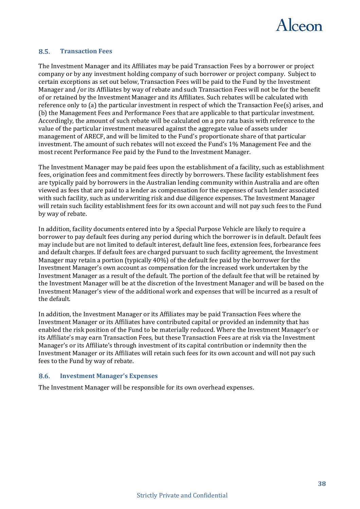

#### <span id="page-37-0"></span> $8.5.$ **Transaction Fees**

The Investment Manager and its Affiliates may be paid Transaction Fees by a borrower or project company or by any investment holding company of such borrower or project company. Subject to certain exceptions as set out below, Transaction Fees will be paid to the Fund by the Investment Manager and /or its Affiliates by way of rebate and such Transaction Fees will not be for the benefit of or retained by the Investment Manager and its Affiliates. Such rebates will be calculated with reference only to (a) the particular investment in respect of which the Transaction Fee(s) arises, and (b) the Management Fees and Performance Fees that are applicable to that particular investment. Accordingly, the amount of such rebate will be calculated on a pro rata basis with reference to the value of the particular investment measured against the aggregate value of assets under management of ARECF, and will be limited to the Fund's proportionate share of that particular investment. The amount of such rebates will not exceed the Fund's 1% Management Fee and the most recent Performance Fee paid by the Fund to the Investment Manager.

The Investment Manager may be paid fees upon the establishment of a facility, such as establishment fees, origination fees and commitment fees directly by borrowers. These facility establishment fees are typically paid by borrowers in the Australian lending community within Australia and are often viewed as fees that are paid to a lender as compensation for the expenses of such lender associated with such facility, such as underwriting risk and due diligence expenses. The Investment Manager will retain such facility establishment fees for its own account and will not pay such fees to the Fund by way of rebate.

In addition, facility documents entered into by a Special Purpose Vehicle are likely to require a borrower to pay default fees during any period during which the borrower is in default. Default fees may include but are not limited to default interest, default line fees, extension fees, forbearance fees and default charges. If default fees are charged pursuant to such facility agreement, the Investment Manager may retain a portion (typically 40%) of the default fee paid by the borrower for the Investment Manager's own account as compensation for the increased work undertaken by the Investment Manager as a result of the default. The portion of the default fee that will be retained by the Investment Manager will be at the discretion of the Investment Manager and will be based on the Investment Manager's view of the additional work and expenses that will be incurred as a result of the default.

In addition, the Investment Manager or its Affiliates may be paid Transaction Fees where the Investment Manager or its Affiliates have contributed capital or provided an indemnity that has enabled the risk position of the Fund to be materially reduced. Where the Investment Manager's or its Affiliate's may earn Transaction Fees, but these Transaction Fees are at risk via the Investment Manager's or its Affiliate's through investment of its capital contribution or indemnity then the Investment Manager or its Affiliates will retain such fees for its own account and will not pay such fees to the Fund by way of rebate.

#### <span id="page-37-1"></span>8.6. **Investment Manager's Expenses**

The Investment Manager will be responsible for its own overhead expenses.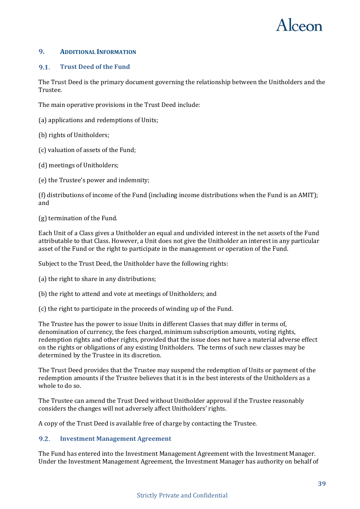

### <span id="page-38-0"></span>**9. ADDITIONAL INFORMATION**

#### <span id="page-38-1"></span>**Trust Deed of the Fund**  $9.1.$

The Trust Deed is the primary document governing the relationship between the Unitholders and the Trustee.

The main operative provisions in the Trust Deed include:

- (a) applications and redemptions of Units;
- (b) rights of Unitholders;
- (c) valuation of assets of the Fund;
- (d) meetings of Unitholders;
- (e) the Trustee's power and indemnity;

(f) distributions of income of the Fund (including income distributions when the Fund is an AMIT); and

(g) termination of the Fund.

Each Unit of a Class gives a Unitholder an equal and undivided interest in the net assets of the Fund attributable to that Class. However, a Unit does not give the Unitholder an interest in any particular asset of the Fund or the right to participate in the management or operation of the Fund.

Subject to the Trust Deed, the Unitholder have the following rights:

(a) the right to share in any distributions;

- (b) the right to attend and vote at meetings of Unitholders; and
- (c) the right to participate in the proceeds of winding up of the Fund.

The Trustee has the power to issue Units in different Classes that may differ in terms of, denomination of currency, the fees charged, minimum subscription amounts, voting rights, redemption rights and other rights, provided that the issue does not have a material adverse effect on the rights or obligations of any existing Unitholders. The terms of such new classes may be determined by the Trustee in its discretion.

The Trust Deed provides that the Trustee may suspend the redemption of Units or payment of the redemption amounts if the Trustee believes that it is in the best interests of the Unitholders as a whole to do so.

The Trustee can amend the Trust Deed without Unitholder approval if the Trustee reasonably considers the changes will not adversely affect Unitholders' rights.

A copy of the Trust Deed is available free of charge by contacting the Trustee.

#### <span id="page-38-2"></span> $9.2.$ **Investment Management Agreement**

The Fund has entered into the Investment Management Agreement with the Investment Manager. Under the Investment Management Agreement, the Investment Manager has authority on behalf of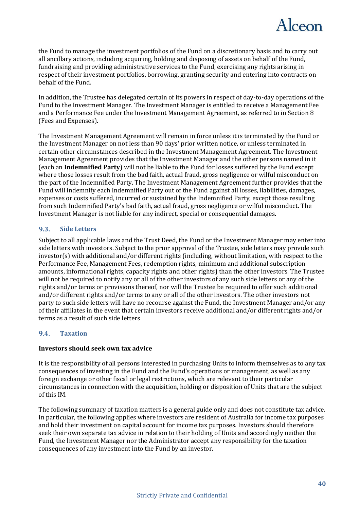

the Fund to manage the investment portfolios of the Fund on a discretionary basis and to carry out all ancillary actions, including acquiring, holding and disposing of assets on behalf of the Fund, fundraising and providing administrative services to the Fund, exercising any rights arising in respect of their investment portfolios, borrowing, granting security and entering into contracts on behalf of the Fund.

In addition, the Trustee has delegated certain of its powers in respect of day-to-day operations of the Fund to the Investment Manager. The Investment Manager is entitled to receive a Management Fee and a Performance Fee under the Investment Management Agreement, as referred to in Sectio[n 8](#page-35-0) (Fees and Expenses).

The Investment Management Agreement will remain in force unless it is terminated by the Fund or the Investment Manager on not less than 90 days' prior written notice, or unless terminated in certain other circumstances described in the Investment Management Agreement. The Investment Management Agreement provides that the Investment Manager and the other persons named in it (each an **Indemnified Party**) will not be liable to the Fund for losses suffered by the Fund except where those losses result from the bad faith, actual fraud, gross negligence or wilful misconduct on the part of the Indemnified Party. The Investment Management Agreement further provides that the Fund will indemnify each Indemnified Party out of the Fund against all losses, liabilities, damages, expenses or costs suffered, incurred or sustained by the Indemnified Party, except those resulting from such Indemnified Party's bad faith, actual fraud, gross negligence or wilful misconduct. The Investment Manager is not liable for any indirect, special or consequential damages.

#### <span id="page-39-0"></span> $9.3.$ **Side Letters**

Subject to all applicable laws and the Trust Deed, the Fund or the Investment Manager may enter into side letters with investors. Subject to the prior approval of the Trustee, side letters may provide such investor(s) with additional and/or different rights (including, without limitation, with respect to the Performance Fee, Management Fees, redemption rights, minimum and additional subscription amounts, informational rights, capacity rights and other rights) than the other investors. The Trustee will not be required to notify any or all of the other investors of any such side letters or any of the rights and/or terms or provisions thereof, nor will the Trustee be required to offer such additional and/or different rights and/or terms to any or all of the other investors. The other investors not party to such side letters will have no recourse against the Fund, the Investment Manager and/or any of their affiliates in the event that certain investors receive additional and/or different rights and/or terms as a result of such side letters

#### $9.4.$ **Taxation**

### **Investors should seek own tax advice**

It is the responsibility of all persons interested in purchasing Units to inform themselves as to any tax consequences of investing in the Fund and the Fund's operations or management, as well as any foreign exchange or other fiscal or legal restrictions, which are relevant to their particular circumstances in connection with the acquisition, holding or disposition of Units that are the subject of this IM.

The following summary of taxation matters is a general guide only and does not constitute tax advice. In particular, the following applies where investors are resident of Australia for income tax purposes and hold their investment on capital account for income tax purposes. Investors should therefore seek their own separate tax advice in relation to their holding of Units and accordingly neither the Fund, the Investment Manager nor the Administrator accept any responsibility for the taxation consequences of any investment into the Fund by an investor.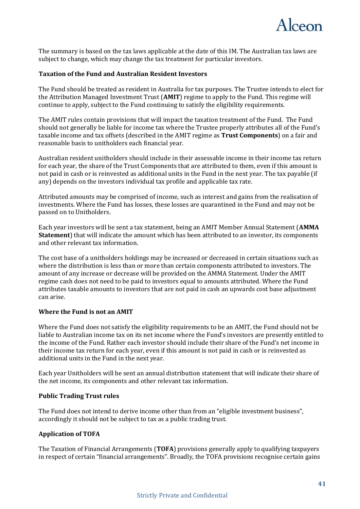

The summary is based on the tax laws applicable at the date of this IM. The Australian tax laws are subject to change, which may change the tax treatment for particular investors.

### **Taxation of the Fund and Australian Resident Investors**

The Fund should be treated as resident in Australia for tax purposes. The Trustee intends to elect for the Attribution Managed Investment Trust (**AMIT**) regime to apply to the Fund. This regime will continue to apply, subject to the Fund continuing to satisfy the eligibility requirements.

The AMIT rules contain provisions that will impact the taxation treatment of the Fund. The Fund should not generally be liable for income tax where the Trustee properly attributes all of the Fund's taxable income and tax offsets (described in the AMIT regime as **Trust Components**) on a fair and reasonable basis to unitholders each financial year.

Australian resident unitholders should include in their assessable income in their income tax return for each year, the share of the Trust Components that are attributed to them, even if this amount is not paid in cash or is reinvested as additional units in the Fund in the next year. The tax payable (if any) depends on the investors individual tax profile and applicable tax rate.

Attributed amounts may be comprised of income, such as interest and gains from the realisation of investments. Where the Fund has losses, these losses are quarantined in the Fund and may not be passed on to Unitholders.

Each year investors will be sent a tax statement, being an AMIT Member Annual Statement (**AMMA Statement**) that will indicate the amount which has been attributed to an investor, its components and other relevant tax information.

The cost base of a unitholders holdings may be increased or decreased in certain situations such as where the distribution is less than or more than certain components attributed to investors. The amount of any increase or decrease will be provided on the AMMA Statement. Under the AMIT regime cash does not need to be paid to investors equal to amounts attributed. Where the Fund attributes taxable amounts to investors that are not paid in cash an upwards cost base adjustment can arise.

### **Where the Fund is not an AMIT**

Where the Fund does not satisfy the eligibility requirements to be an AMIT, the Fund should not be liable to Australian income tax on its net income where the Fund's investors are presently entitled to the income of the Fund. Rather each investor should include their share of the Fund's net income in their income tax return for each year, even if this amount is not paid in cash or is reinvested as additional units in the Fund in the next year.

Each year Unitholders will be sent an annual distribution statement that will indicate their share of the net income, its components and other relevant tax information.

### **Public Trading Trust rules**

The Fund does not intend to derive income other than from an "eligible investment business", accordingly it should not be subject to tax as a public trading trust.

### **Application of TOFA**

The Taxation of Financial Arrangements (**TOFA**) provisions generally apply to qualifying taxpayers in respect of certain "financial arrangements". Broadly, the TOFA provisions recognise certain gains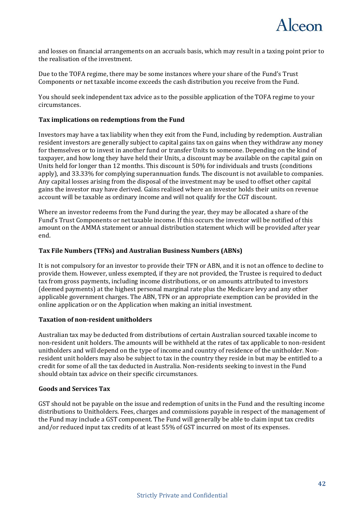

and losses on financial arrangements on an accruals basis, which may result in a taxing point prior to the realisation of the investment.

Due to the TOFA regime, there may be some instances where your share of the Fund's Trust Components or net taxable income exceeds the cash distribution you receive from the Fund.

You should seek independent tax advice as to the possible application of the TOFA regime to your circumstances.

### **Tax implications on redemptions from the Fund**

Investors may have a tax liability when they exit from the Fund, including by redemption. Australian resident investors are generally subject to capital gains tax on gains when they withdraw any money for themselves or to invest in another fund or transfer Units to someone. Depending on the kind of taxpayer, and how long they have held their Units, a discount may be available on the capital gain on Units held for longer than 12 months. This discount is 50% for individuals and trusts (conditions apply), and 33.33% for complying superannuation funds. The discount is not available to companies. Any capital losses arising from the disposal of the investment may be used to offset other capital gains the investor may have derived. Gains realised where an investor holds their units on revenue account will be taxable as ordinary income and will not qualify for the CGT discount.

Where an investor redeems from the Fund during the year, they may be allocated a share of the Fund's Trust Components or net taxable income. If this occurs the investor will be notified of this amount on the AMMA statement or annual distribution statement which will be provided after year end.

### **Tax File Numbers (TFNs) and Australian Business Numbers (ABNs)**

It is not compulsory for an investor to provide their TFN or ABN, and it is not an offence to decline to provide them. However, unless exempted, if they are not provided, the Trustee is required to deduct tax from gross payments, including income distributions, or on amounts attributed to investors (deemed payments) at the highest personal marginal rate plus the Medicare levy and any other applicable government charges. The ABN, TFN or an appropriate exemption can be provided in the online application or on the Application when making an initial investment.

### **Taxation of non-resident unitholders**

Australian tax may be deducted from distributions of certain Australian sourced taxable income to non-resident unit holders. The amounts will be withheld at the rates of tax applicable to non-resident unitholders and will depend on the type of income and country of residence of the unitholder. Nonresident unit holders may also be subject to tax in the country they reside in but may be entitled to a credit for some of all the tax deducted in Australia. Non-residents seeking to invest in the Fund should obtain tax advice on their specific circumstances.

### **Goods and Services Tax**

GST should not be payable on the issue and redemption of units in the Fund and the resulting income distributions to Unitholders. Fees, charges and commissions payable in respect of the management of the Fund may include a GST component. The Fund will generally be able to claim input tax credits and/or reduced input tax credits of at least 55% of GST incurred on most of its expenses.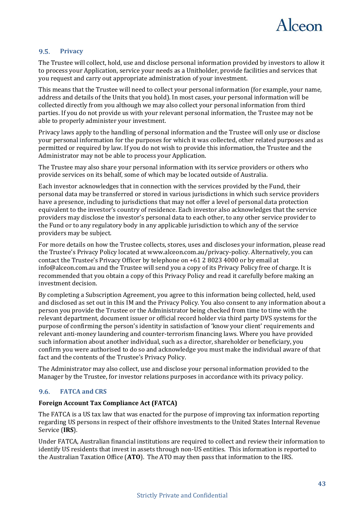

#### <span id="page-42-0"></span> $9.5.$ **Privacy**

The Trustee will collect, hold, use and disclose personal information provided by investors to allow it to process your Application, service your needs as a Unitholder, provide facilities and services that you request and carry out appropriate administration of your investment.

This means that the Trustee will need to collect your personal information (for example, your name, address and details of the Units that you hold). In most cases, your personal information will be collected directly from you although we may also collect your personal information from third parties. If you do not provide us with your relevant personal information, the Trustee may not be able to properly administer your investment.

Privacy laws apply to the handling of personal information and the Trustee will only use or disclose your personal information for the purposes for which it was collected, other related purposes and as permitted or required by law. If you do not wish to provide this information, the Trustee and the Administrator may not be able to process your Application.

The Trustee may also share your personal information with its service providers or others who provide services on its behalf, some of which may be located outside of Australia.

Each investor acknowledges that in connection with the services provided by the Fund, their personal data may be transferred or stored in various jurisdictions in which such service providers have a presence, including to jurisdictions that may not offer a level of personal data protection equivalent to the investor's country of residence. Each investor also acknowledges that the service providers may disclose the investor's personal data to each other, to any other service provider to the Fund or to any regulatory body in any applicable jurisdiction to which any of the service providers may be subject.

For more details on how the Trustee collects, stores, uses and discloses your information, please read the Trustee's Privacy Policy located at www.alceon.com.au/privacy-policy. Alternatively, you can contact the Trustee's Privacy Officer by telephone on +61 2 8023 4000 or by email at info@alceon.com.au and the Trustee will send you a copy of its Privacy Policy free of charge. It is recommended that you obtain a copy of this Privacy Policy and read it carefully before making an investment decision.

By completing a Subscription Agreement, you agree to this information being collected, held, used and disclosed as set out in this IM and the Privacy Policy. You also consent to any information about a person you provide the Trustee or the Administrator being checked from time to time with the relevant department, document issuer or official record holder via third party DVS systems for the purpose of confirming the person's identity in satisfaction of 'know your client' requirements and relevant anti-money laundering and counter-terrorism financing laws. Where you have provided such information about another individual, such as a director, shareholder or beneficiary, you confirm you were authorised to do so and acknowledge you must make the individual aware of that fact and the contents of the Trustee's Privacy Policy.

The Administrator may also collect, use and disclose your personal information provided to the Manager by the Trustee, for investor relations purposes in accordance with its privacy policy.

#### <span id="page-42-1"></span> $9.6.$ **FATCA and CRS**

### **Foreign Account Tax Compliance Act (FATCA)**

The FATCA is a US tax law that was enacted for the purpose of improving tax information reporting regarding US persons in respect of their offshore investments to the United States Internal Revenue Service (**IRS**).

Under FATCA, Australian financial institutions are required to collect and review their information to identify US residents that invest in assets through non-US entities. This information is reported to the Australian Taxation Office (**ATO**). The ATO may then pass that information to the IRS.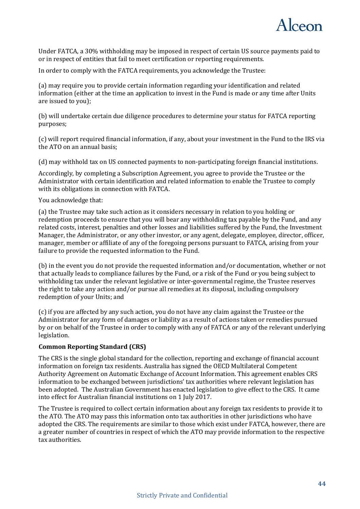

Under FATCA, a 30% withholding may be imposed in respect of certain US source payments paid to or in respect of entities that fail to meet certification or reporting requirements.

In order to comply with the FATCA requirements, you acknowledge the Trustee:

(a) may require you to provide certain information regarding your identification and related information (either at the time an application to invest in the Fund is made or any time after Units are issued to you);

(b) will undertake certain due diligence procedures to determine your status for FATCA reporting purposes;

(c) will report required financial information, if any, about your investment in the Fund to the IRS via the ATO on an annual basis;

(d) may withhold tax on US connected payments to non-participating foreign financial institutions.

Accordingly, by completing a Subscription Agreement, you agree to provide the Trustee or the Administrator with certain identification and related information to enable the Trustee to comply with its obligations in connection with FATCA.

You acknowledge that:

(a) the Trustee may take such action as it considers necessary in relation to you holding or redemption proceeds to ensure that you will bear any withholding tax payable by the Fund, and any related costs, interest, penalties and other losses and liabilities suffered by the Fund, the Investment Manager, the Administrator, or any other investor, or any agent, delegate, employee, director, officer, manager, member or affiliate of any of the foregoing persons pursuant to FATCA, arising from your failure to provide the requested information to the Fund.

(b) in the event you do not provide the requested information and/or documentation, whether or not that actually leads to compliance failures by the Fund, or a risk of the Fund or you being subject to withholding tax under the relevant legislative or inter-governmental regime, the Trustee reserves the right to take any action and/or pursue all remedies at its disposal, including compulsory redemption of your Units; and

(c) if you are affected by any such action, you do not have any claim against the Trustee or the Administrator for any form of damages or liability as a result of actions taken or remedies pursued by or on behalf of the Trustee in order to comply with any of FATCA or any of the relevant underlying legislation.

### **Common Reporting Standard (CRS)**

The CRS is the single global standard for the collection, reporting and exchange of financial account information on foreign tax residents. Australia has signed the OECD Multilateral Competent Authority Agreement on Automatic Exchange of Account Information. This agreement enables CRS information to be exchanged between jurisdictions' tax authorities where relevant legislation has been adopted. The Australian Government has enacted legislation to give effect to the CRS. It came into effect for Australian financial institutions on 1 July 2017.

The Trustee is required to collect certain information about any foreign tax residents to provide it to the ATO. The ATO may pass this information onto tax authorities in other jurisdictions who have adopted the CRS. The requirements are similar to those which exist under FATCA, however, there are a greater number of countries in respect of which the ATO may provide information to the respective tax authorities.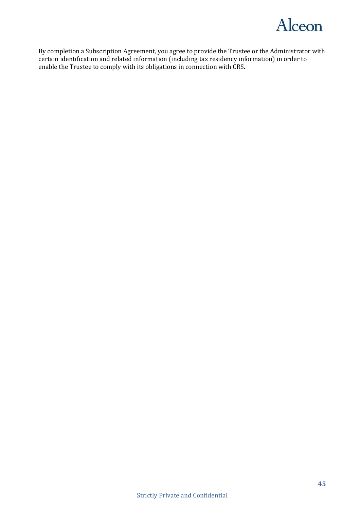

By completion a Subscription Agreement, you agree to provide the Trustee or the Administrator with certain identification and related information (including tax residency information) in order to enable the Trustee to comply with its obligations in connection with CRS.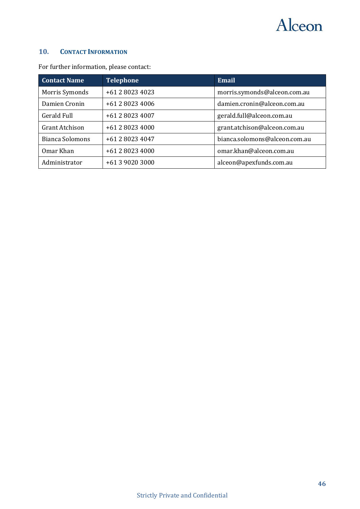

### <span id="page-45-0"></span>**10. CONTACT INFORMATION**

| <b>Contact Name</b>    | <b>Telephone</b> | <b>Email</b>                  |
|------------------------|------------------|-------------------------------|
| Morris Symonds         | +61 2 8023 4023  | morris.symonds@alceon.com.au  |
| Damien Cronin          | +61 2 8023 4006  | damien.cronin@alceon.com.au   |
| <b>Gerald Full</b>     | +61 2 8023 4007  | gerald.full@alceon.com.au     |
| <b>Grant Atchison</b>  | +61 2 8023 4000  | grant.atchison@alceon.com.au  |
| <b>Bianca Solomons</b> | +61 2 8023 4047  | bianca.solomons@alceon.com.au |
| Omar Khan              | +61 2 8023 4000  | omar.khan@alceon.com.au       |
| Administrator          | +61 3 9020 3000  | alceon@apexfunds.com.au       |

For further information, please contact: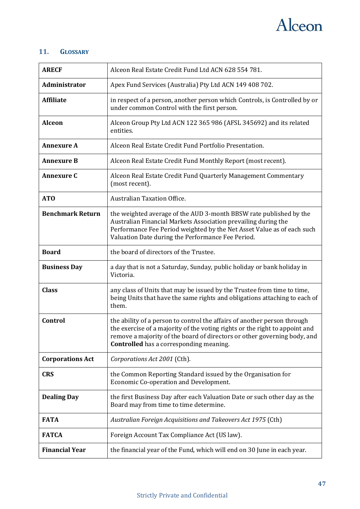

### <span id="page-46-0"></span>**11. GLOSSARY**

| <b>ARECF</b>            | Alceon Real Estate Credit Fund Ltd ACN 628 554 781.                                                                                                                                                                                                                                   |
|-------------------------|---------------------------------------------------------------------------------------------------------------------------------------------------------------------------------------------------------------------------------------------------------------------------------------|
| Administrator           | Apex Fund Services (Australia) Pty Ltd ACN 149 408 702.                                                                                                                                                                                                                               |
| <b>Affiliate</b>        | in respect of a person, another person which Controls, is Controlled by or<br>under common Control with the first person.                                                                                                                                                             |
| <b>Alceon</b>           | Alceon Group Pty Ltd ACN 122 365 986 (AFSL 345692) and its related<br>entities.                                                                                                                                                                                                       |
| <b>Annexure A</b>       | Alceon Real Estate Credit Fund Portfolio Presentation.                                                                                                                                                                                                                                |
| <b>Annexure B</b>       | Alceon Real Estate Credit Fund Monthly Report (most recent).                                                                                                                                                                                                                          |
| <b>Annexure C</b>       | Alceon Real Estate Credit Fund Quarterly Management Commentary<br>(most recent).                                                                                                                                                                                                      |
| AT <sub>O</sub>         | <b>Australian Taxation Office.</b>                                                                                                                                                                                                                                                    |
| <b>Benchmark Return</b> | the weighted average of the AUD 3-month BBSW rate published by the<br>Australian Financial Markets Association prevailing during the<br>Performance Fee Period weighted by the Net Asset Value as of each such<br>Valuation Date during the Performance Fee Period.                   |
| <b>Board</b>            | the board of directors of the Trustee.                                                                                                                                                                                                                                                |
| <b>Business Day</b>     | a day that is not a Saturday, Sunday, public holiday or bank holiday in<br>Victoria.                                                                                                                                                                                                  |
| <b>Class</b>            | any class of Units that may be issued by the Trustee from time to time,<br>being Units that have the same rights and obligations attaching to each of<br>them.                                                                                                                        |
| Control                 | the ability of a person to control the affairs of another person through<br>the exercise of a majority of the voting rights or the right to appoint and<br>remove a majority of the board of directors or other governing body, and<br><b>Controlled</b> has a corresponding meaning. |
| <b>Corporations Act</b> | Corporations Act 2001 (Cth).                                                                                                                                                                                                                                                          |
| <b>CRS</b>              | the Common Reporting Standard issued by the Organisation for<br>Economic Co-operation and Development.                                                                                                                                                                                |
| <b>Dealing Day</b>      | the first Business Day after each Valuation Date or such other day as the<br>Board may from time to time determine.                                                                                                                                                                   |
| <b>FATA</b>             | Australian Foreign Acquisitions and Takeovers Act 1975 (Cth)                                                                                                                                                                                                                          |
| <b>FATCA</b>            | Foreign Account Tax Compliance Act (US law).                                                                                                                                                                                                                                          |
| <b>Financial Year</b>   | the financial year of the Fund, which will end on 30 June in each year.                                                                                                                                                                                                               |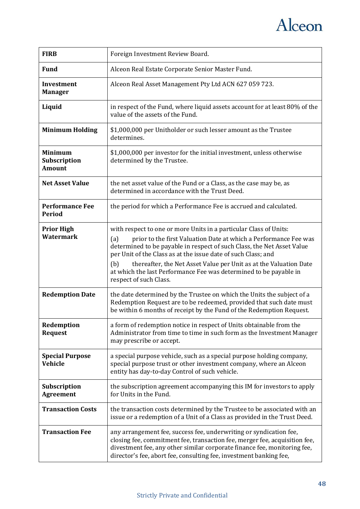

| <b>FIRB</b>                                     | Foreign Investment Review Board.                                                                                                                                                                                                                                                                                                                                                                                                                                   |
|-------------------------------------------------|--------------------------------------------------------------------------------------------------------------------------------------------------------------------------------------------------------------------------------------------------------------------------------------------------------------------------------------------------------------------------------------------------------------------------------------------------------------------|
| <b>Fund</b>                                     | Alceon Real Estate Corporate Senior Master Fund.                                                                                                                                                                                                                                                                                                                                                                                                                   |
| <b>Investment</b><br><b>Manager</b>             | Alceon Real Asset Management Pty Ltd ACN 627 059 723.                                                                                                                                                                                                                                                                                                                                                                                                              |
| Liquid                                          | in respect of the Fund, where liquid assets account for at least 80% of the<br>value of the assets of the Fund.                                                                                                                                                                                                                                                                                                                                                    |
| <b>Minimum Holding</b>                          | \$1,000,000 per Unitholder or such lesser amount as the Trustee<br>determines.                                                                                                                                                                                                                                                                                                                                                                                     |
| <b>Minimum</b><br>Subscription<br><b>Amount</b> | \$1,000,000 per investor for the initial investment, unless otherwise<br>determined by the Trustee.                                                                                                                                                                                                                                                                                                                                                                |
| <b>Net Asset Value</b>                          | the net asset value of the Fund or a Class, as the case may be, as<br>determined in accordance with the Trust Deed.                                                                                                                                                                                                                                                                                                                                                |
| <b>Performance Fee</b><br><b>Period</b>         | the period for which a Performance Fee is accrued and calculated.                                                                                                                                                                                                                                                                                                                                                                                                  |
| <b>Prior High</b><br><b>Watermark</b>           | with respect to one or more Units in a particular Class of Units:<br>(a)<br>prior to the first Valuation Date at which a Performance Fee was<br>determined to be payable in respect of such Class, the Net Asset Value<br>per Unit of the Class as at the issue date of such Class; and<br>(b)<br>thereafter, the Net Asset Value per Unit as at the Valuation Date<br>at which the last Performance Fee was determined to be payable in<br>respect of such Class. |
| <b>Redemption Date</b>                          | the date determined by the Trustee on which the Units the subject of a<br>Redemption Request are to be redeemed, provided that such date must<br>be within 6 months of receipt by the Fund of the Redemption Request.                                                                                                                                                                                                                                              |
| Redemption<br><b>Request</b>                    | a form of redemption notice in respect of Units obtainable from the<br>Administrator from time to time in such form as the Investment Manager<br>may prescribe or accept.                                                                                                                                                                                                                                                                                          |
| <b>Special Purpose</b><br><b>Vehicle</b>        | a special purpose vehicle, such as a special purpose holding company,<br>special purpose trust or other investment company, where an Alceon<br>entity has day-to-day Control of such vehicle.                                                                                                                                                                                                                                                                      |
| Subscription<br><b>Agreement</b>                | the subscription agreement accompanying this IM for investors to apply<br>for Units in the Fund.                                                                                                                                                                                                                                                                                                                                                                   |
| <b>Transaction Costs</b>                        | the transaction costs determined by the Trustee to be associated with an<br>issue or a redemption of a Unit of a Class as provided in the Trust Deed.                                                                                                                                                                                                                                                                                                              |
| <b>Transaction Fee</b>                          | any arrangement fee, success fee, underwriting or syndication fee,<br>closing fee, commitment fee, transaction fee, merger fee, acquisition fee,<br>divestment fee, any other similar corporate finance fee, monitoring fee,<br>director's fee, abort fee, consulting fee, investment banking fee,                                                                                                                                                                 |